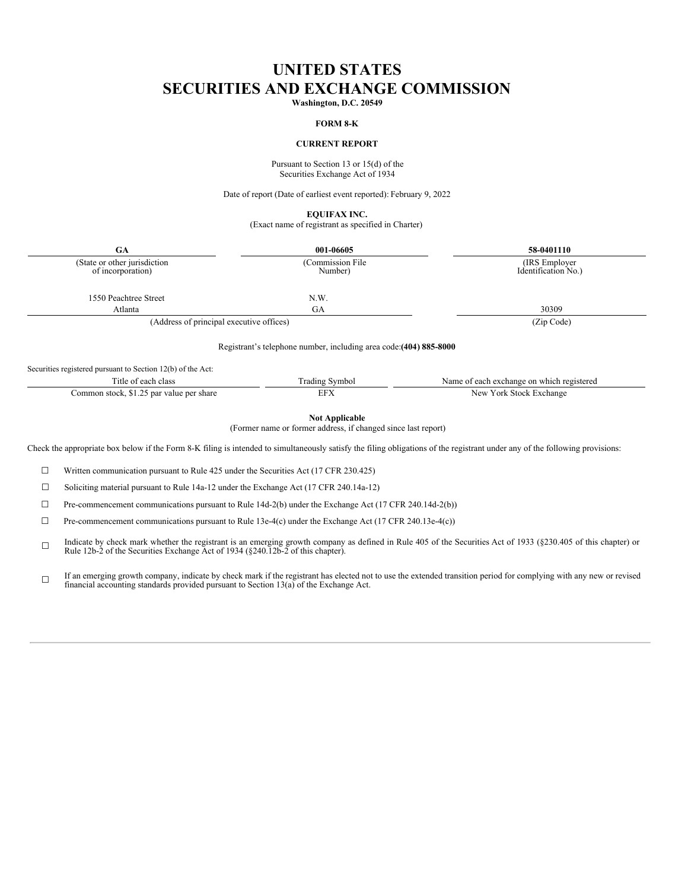# **UNITED STATES SECURITIES AND EXCHANGE COMMISSION**

**Washington, D.C. 20549**

#### **FORM 8-K**

### **CURRENT REPORT**

Pursuant to Section 13 or 15(d) of the Securities Exchange Act of 1934

Date of report (Date of earliest event reported): February 9, 2022

**EQUIFAX INC.**

(Exact name of registrant as specified in Charter)

| 001-06605                                                          | 58-0401110                               |
|--------------------------------------------------------------------|------------------------------------------|
| (Commission File)<br>Number)                                       | (IRS Employer)<br>Identification No.)    |
| N.W.                                                               |                                          |
| GA                                                                 | 30309                                    |
|                                                                    | (Zip Code)                               |
| Registrant's telephone number, including area code: (404) 885-8000 |                                          |
|                                                                    | (Address of principal executive offices) |

Securities registered pursuant to Section 12(b) of the Act:

| class<br>each<br>. 1 U 6                                        | .nbo!<br>1.401n9 | registerer<br>. which<br>. ange<br>сас<br>۹а<br>. |
|-----------------------------------------------------------------|------------------|---------------------------------------------------|
| share<br>.ommon<br>par<br>value<br>: pei<br>Æ.<br>. SLOCK.<br>. | . .              | New<br>`orl<br>.stock.<br>:chang<br>              |

**Not Applicable**

(Former name or former address, if changed since last report)

Check the appropriate box below if the Form 8-K filing is intended to simultaneously satisfy the filing obligations of the registrant under any of the following provisions:

☐ Written communication pursuant to Rule 425 under the Securities Act (17 CFR 230.425)

☐ Soliciting material pursuant to Rule 14a-12 under the Exchange Act (17 CFR 240.14a-12)

 $\Box$  Pre-commencement communications pursuant to Rule 14d-2(b) under the Exchange Act (17 CFR 240.14d-2(b))

☐ Pre-commencement communications pursuant to Rule 13e-4(c) under the Exchange Act (17 CFR 240.13e-4(c))

☐ Indicate by check mark whether the registrant is an emerging growth company as defined in Rule 405 of the Securities Act of 1933 (§230.405 of this chapter) or Rule 12b-2 of the Securities Exchange Act of 1934 (§240.12b-2 o

☐ If an emerging growth company, indicate by check mark if the registrant has elected not to use the extended transition period for complying with any new or revised financial accounting standards provided pursuant to Section 13(a) of the Exchange Act.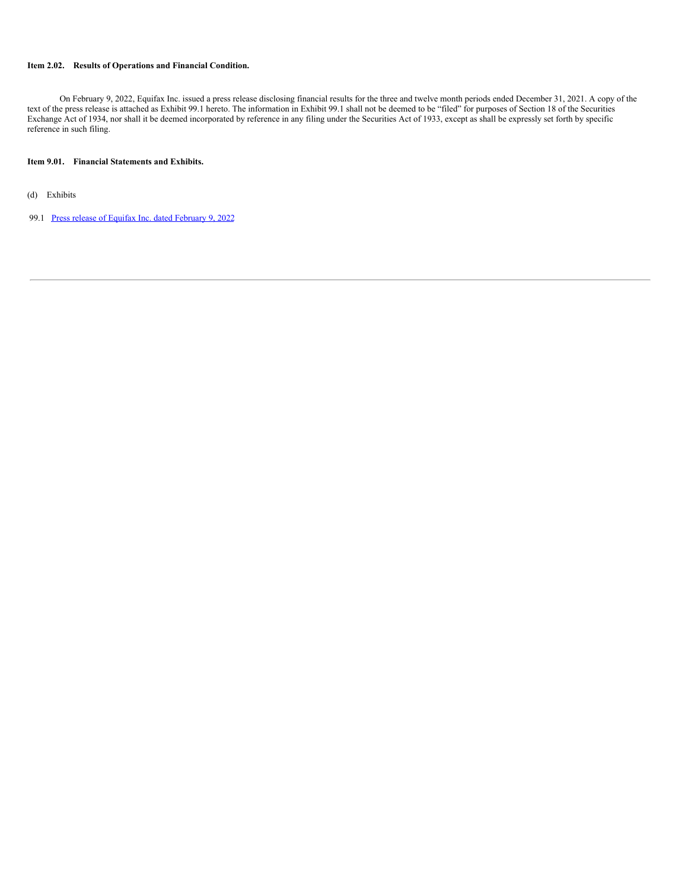### **Item 2.02. Results of Operations and Financial Condition.**

On February 9, 2022, Equifax Inc. issued a press release disclosing financial results for the three and twelve month periods ended December 31, 2021. A copy of the text of the press release is attached as Exhibit 99.1 hereto. The information in Exhibit 99.1 shall not be deemed to be "filed" for purposes of Section 18 of the Securities Exchange Act of 1934, nor shall it be deemed incorporated by reference in any filing under the Securities Act of 1933, except as shall be expressly set forth by specific reference in such filing.

### **Item 9.01. Financial Statements and Exhibits.**

(d) Exhibits

99.1 Press release of Equifax Inc. dated [February](#page-14-0) 9, 2022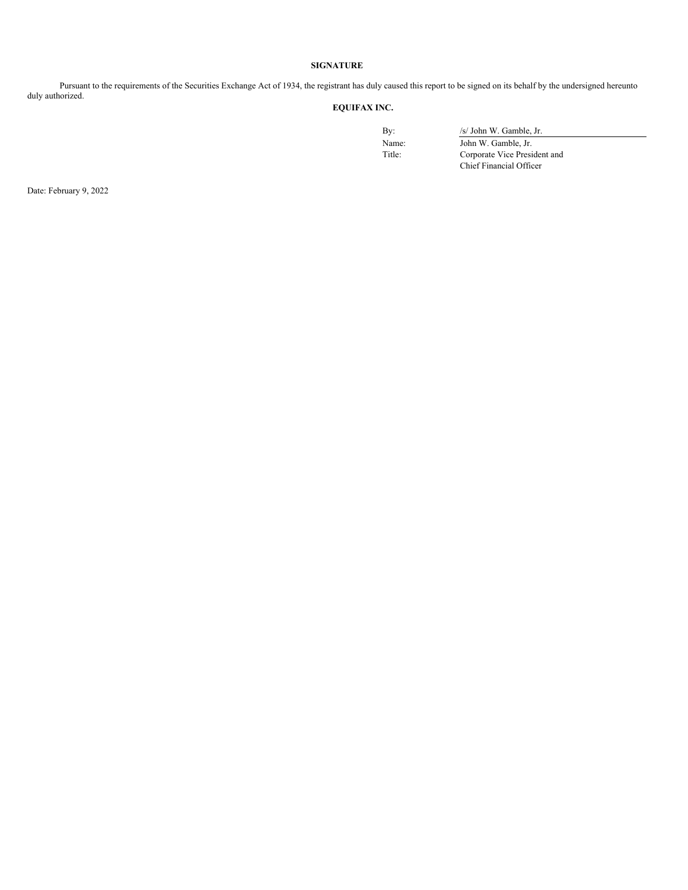### **SIGNATURE**

Pursuant to the requirements of the Securities Exchange Act of 1934, the registrant has duly caused this report to be signed on its behalf by the undersigned hereunto duly authorized.

# **EQUIFAX INC.**

By:  $/s/ John W. Gamble, Jr.$ 

Name: John W. Gamble, Jr.<br>Title: Corporate Vice President Corporate Vice President and Chief Financial Officer

Date: February 9, 2022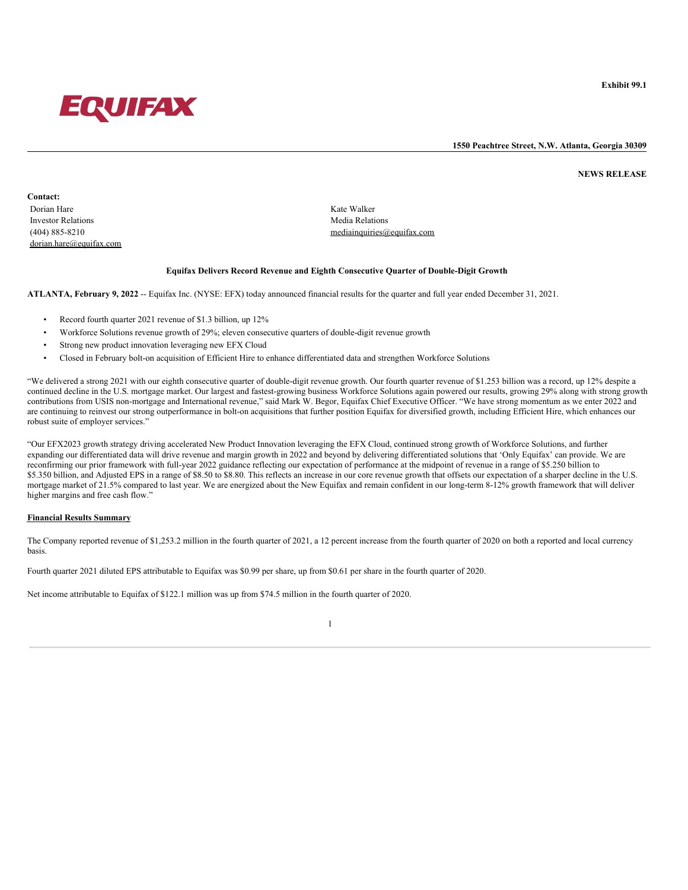

**1550 Peachtree Street, N.W. Atlanta, Georgia 30309**

**NEWS RELEASE**

**Contact:** Dorian Hare Kate Walker Investor Relations Media Relations and the United States of the Media Relations Media Relations of the Media Relations of the Media Relations of the Media Relations of the Media Relations of the Media Relations of the Medi dorian.hare@equifax.com

(404) 885-8210 mediainquiries@equifax.com

### **Equifax Delivers Record Revenue and Eighth Consecutive Quarter of Double-Digit Growth**

**ATLANTA, February 9, 2022** -- Equifax Inc. (NYSE: EFX) today announced financial results for the quarter and full year ended December 31, 2021.

- Record fourth quarter 2021 revenue of \$1.3 billion, up 12%
- Workforce Solutions revenue growth of 29%; eleven consecutive quarters of double-digit revenue growth
- Strong new product innovation leveraging new EFX Cloud
- Closed in February bolt-on acquisition of Efficient Hire to enhance differentiated data and strengthen Workforce Solutions

"We delivered a strong 2021 with our eighth consecutive quarter of double-digit revenue growth. Our fourth quarter revenue of \$1.253 billion was a record, up 12% despite a continued decline in the U.S. mortgage market. Our largest and fastest-growing business Workforce Solutions again powered our results, growing 29% along with strong growth contributions from USIS non-mortgage and International revenue," said Mark W. Begor, Equifax Chief Executive Officer. "We have strong momentum as we enter 2022 and are continuing to reinvest our strong outperformance in bolt-on acquisitions that further position Equifax for diversified growth, including Efficient Hire, which enhances our robust suite of employer services."

"Our EFX2023 growth strategy driving accelerated New Product Innovation leveraging the EFX Cloud, continued strong growth of Workforce Solutions, and further expanding our differentiated data will drive revenue and margin growth in 2022 and beyond by delivering differentiated solutions that 'Only Equifax' can provide. We are reconfirming our prior framework with full-year 2022 guidance reflecting our expectation of performance at the midpoint of revenue in a range of \$5.250 billion to \$5.350 billion, and Adjusted EPS in a range of \$8.50 to \$8.80. This reflects an increase in our core revenue growth that offsets our expectation of a sharper decline in the U.S. mortgage market of 21.5% compared to last year. We are energized about the New Equifax and remain confident in our long-term 8-12% growth framework that will deliver higher margins and free cash flow."

#### **Financial Results Summary**

The Company reported revenue of \$1,253.2 million in the fourth quarter of 2021, a 12 percent increase from the fourth quarter of 2020 on both a reported and local currency basis.

Fourth quarter 2021 diluted EPS attributable to Equifax was \$0.99 per share, up from \$0.61 per share in the fourth quarter of 2020.

Net income attributable to Equifax of \$122.1 million was up from \$74.5 million in the fourth quarter of 2020.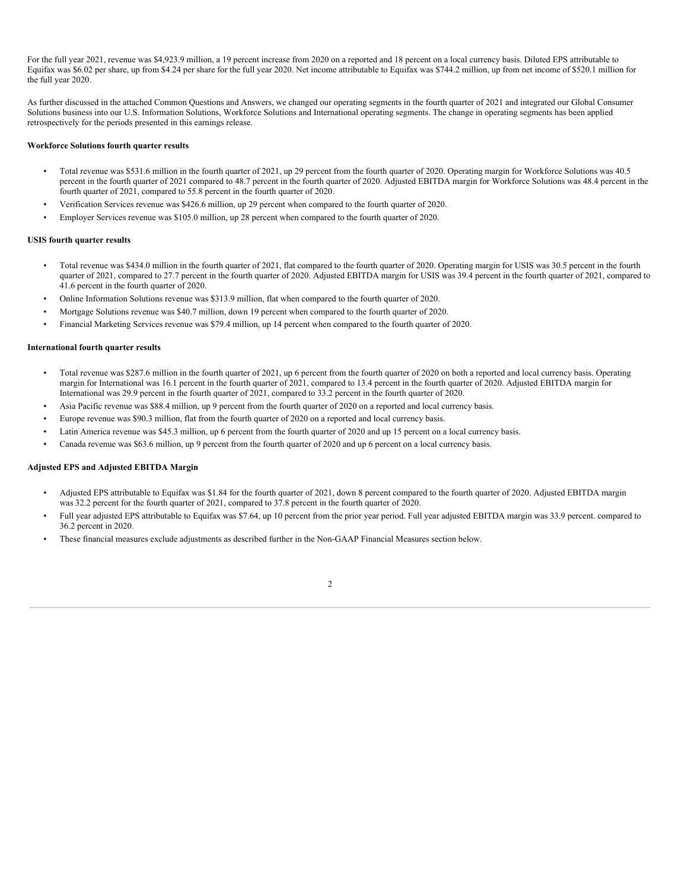For the full year 2021, revenue was \$4,923.9 million, a 19 percent increase from 2020 on a reported and 18 percent on a local currency basis. Diluted EPS attributable to Equifax was \$6.02 per share, up from \$4.24 per share for the full year 2020. Net income attributable to Equifax was \$744.2 million, up from net income of \$520.1 million for the full year 2020.

As further discussed in the attached Common Questions and Answers, we changed our operating segments in the fourth quarter of 2021 and integrated our Global Consumer Solutions business into our U.S. Information Solutions, Workforce Solutions and International operating segments. The change in operating segments has been applied retrospectively for the periods presented in this earnings release.

#### **Workforce Solutions fourth quarter results**

- Total revenue was \$531.6 million in the fourth quarter of 2021, up 29 percent from the fourth quarter of 2020. Operating margin for Workforce Solutions was 40.5 percent in the fourth quarter of 2021 compared to 48.7 percent in the fourth quarter of 2020. Adjusted EBITDA margin for Workforce Solutions was 48.4 percent in the fourth quarter of 2021, compared to 55.8 percent in the fourth quarter of 2020.
- Verification Services revenue was \$426.6 million, up 29 percent when compared to the fourth quarter of 2020.
- Employer Services revenue was \$105.0 million, up 28 percent when compared to the fourth quarter of 2020.

#### **USIS fourth quarter results**

- Total revenue was \$434.0 million in the fourth quarter of 2021, flat compared to the fourth quarter of 2020. Operating margin for USIS was 30.5 percent in the fourth quarter of 2021, compared to 27.7 percent in the fourth quarter of 2020. Adjusted EBITDA margin for USIS was 39.4 percent in the fourth quarter of 2021, compared to 41.6 percent in the fourth quarter of 2020.
- Online Information Solutions revenue was \$313.9 million, flat when compared to the fourth quarter of 2020.
- Mortgage Solutions revenue was \$40.7 million, down 19 percent when compared to the fourth quarter of 2020.
- Financial Marketing Services revenue was \$79.4 million, up 14 percent when compared to the fourth quarter of 2020.

#### **International fourth quarter results**

- Total revenue was \$287.6 million in the fourth quarter of 2021, up 6 percent from the fourth quarter of 2020 on both a reported and local currency basis. Operating margin for International was 16.1 percent in the fourth quarter of 2021, compared to 13.4 percent in the fourth quarter of 2020. Adjusted EBITDA margin for International was 29.9 percent in the fourth quarter of 2021, compared to 33.2 percent in the fourth quarter of 2020.
- Asia Pacific revenue was \$88.4 million, up 9 percent from the fourth quarter of 2020 on a reported and local currency basis.
- Europe revenue was \$90.3 million, flat from the fourth quarter of 2020 on a reported and local currency basis.
- Latin America revenue was \$45.3 million, up 6 percent from the fourth quarter of 2020 and up 15 percent on a local currency basis.
- Canada revenue was \$63.6 million, up 9 percent from the fourth quarter of 2020 and up 6 percent on a local currency basis.

#### **Adjusted EPS and Adjusted EBITDA Margin**

- Adjusted EPS attributable to Equifax was \$1.84 for the fourth quarter of 2021, down 8 percent compared to the fourth quarter of 2020. Adjusted EBITDA margin was 32.2 percent for the fourth quarter of 2021, compared to 37.8 percent in the fourth quarter of 2020.
- Full year adjusted EPS attributable to Equifax was \$7.64, up 10 percent from the prior year period. Full year adjusted EBITDA margin was 33.9 percent. compared to 36.2 percent in 2020.
- These financial measures exclude adjustments as described further in the Non-GAAP Financial Measures section below.

 $\mathcal{L}$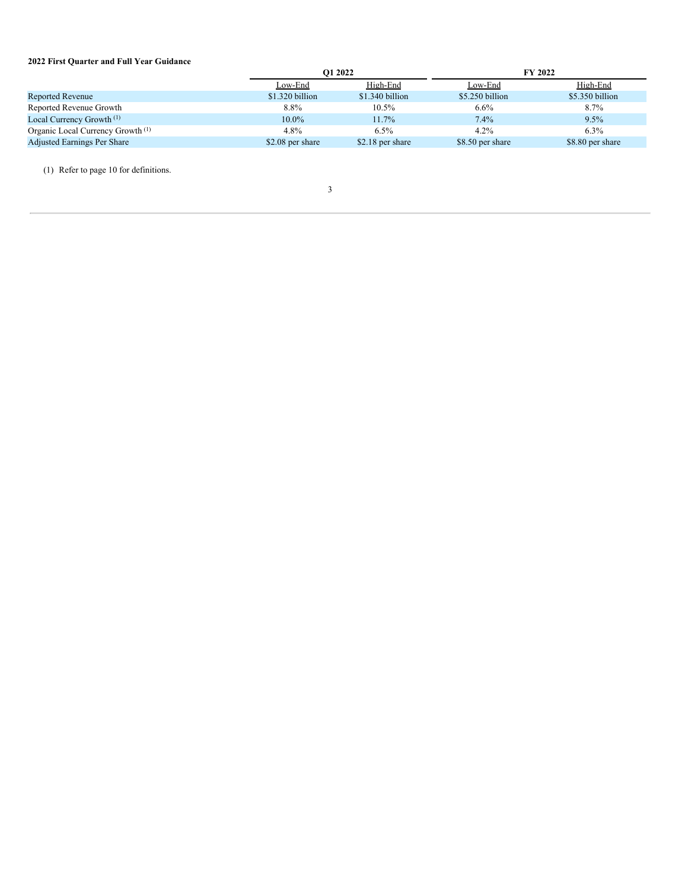# **2022 First Quarter and Full Year Guidance**

|                                              |                  | O1 2022          |                  | <b>FY 2022</b>   |  |  |
|----------------------------------------------|------------------|------------------|------------------|------------------|--|--|
|                                              | Low-End          | High-End         | Low-End          | High-End         |  |  |
| Reported Revenue                             | \$1.320 billion  | \$1.340 billion  | \$5.250 billion  | \$5.350 billion  |  |  |
| Reported Revenue Growth                      | 8.8%             | $10.5\%$         | $6.6\%$          | $8.7\%$          |  |  |
| Local Currency Growth <sup>(1)</sup>         | $10.0\%$         | 11.7%            | $7.4\%$          | $9.5\%$          |  |  |
| Organic Local Currency Growth <sup>(1)</sup> | 4.8%             | $6.5\%$          | $4.2\%$          | $6.3\%$          |  |  |
| Adjusted Earnings Per Share                  | \$2.08 per share | \$2.18 per share | \$8.50 per share | \$8.80 per share |  |  |

(1) Refer to page 10 for definitions.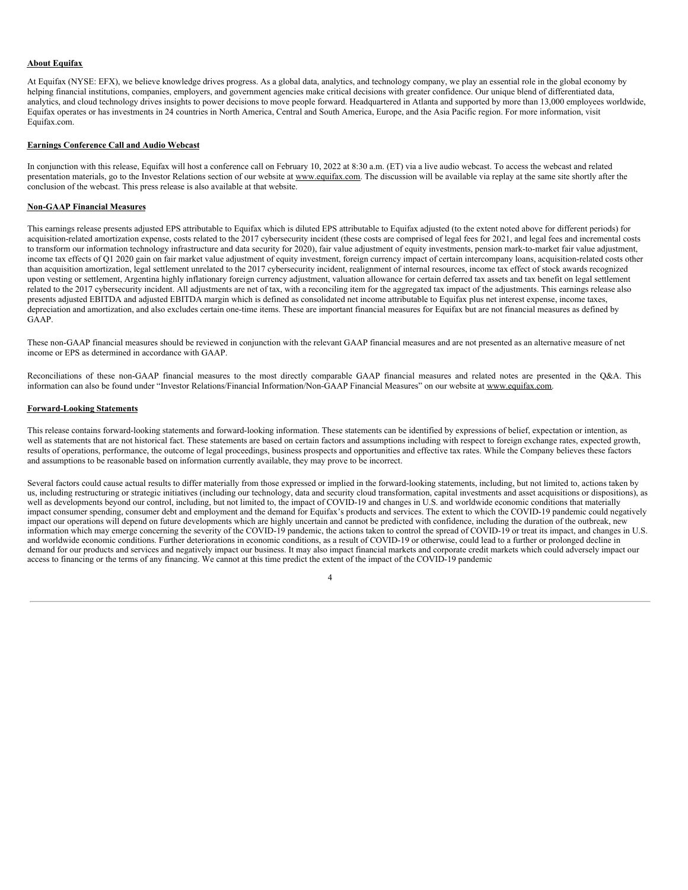### **About Equifax**

At Equifax (NYSE: EFX), we believe knowledge drives progress. As a global data, analytics, and technology company, we play an essential role in the global economy by helping financial institutions, companies, employers, and government agencies make critical decisions with greater confidence. Our unique blend of differentiated data, analytics, and cloud technology drives insights to power decisions to move people forward. Headquartered in Atlanta and supported by more than 13,000 employees worldwide, Equifax operates or has investments in 24 countries in North America, Central and South America, Europe, and the Asia Pacific region. For more information, visit Equifax.com.

#### **Earnings Conference Call and Audio Webcast**

In conjunction with this release, Equifax will host a conference call on February 10, 2022 at 8:30 a.m. (ET) via a live audio webcast. To access the webcast and related presentation materials, go to the Investor Relations section of our website at www.equifax.com. The discussion will be available via replay at the same site shortly after the conclusion of the webcast. This press release is also available at that website.

#### **Non-GAAP Financial Measures**

This earnings release presents adjusted EPS attributable to Equifax which is diluted EPS attributable to Equifax adjusted (to the extent noted above for different periods) for acquisition-related amortization expense, costs related to the 2017 cybersecurity incident (these costs are comprised of legal fees for 2021, and legal fees and incremental costs to transform our information technology infrastructure and data security for 2020), fair value adjustment of equity investments, pension mark-to-market fair value adjustment, income tax effects of Q1 2020 gain on fair market value adjustment of equity investment, foreign currency impact of certain intercompany loans, acquisition-related costs other than acquisition amortization, legal settlement unrelated to the 2017 cybersecurity incident, realignment of internal resources, income tax effect of stock awards recognized upon vesting or settlement, Argentina highly inflationary foreign currency adjustment, valuation allowance for certain deferred tax assets and tax benefit on legal settlement related to the 2017 cybersecurity incident. All adjustments are net of tax, with a reconciling item for the aggregated tax impact of the adjustments. This earnings release also presents adjusted EBITDA and adjusted EBITDA margin which is defined as consolidated net income attributable to Equifax plus net interest expense, income taxes, depreciation and amortization, and also excludes certain one-time items. These are important financial measures for Equifax but are not financial measures as defined by GAAP.

These non-GAAP financial measures should be reviewed in conjunction with the relevant GAAP financial measures and are not presented as an alternative measure of net income or EPS as determined in accordance with GAAP.

Reconciliations of these non-GAAP financial measures to the most directly comparable GAAP financial measures and related notes are presented in the Q&A. This information can also be found under "Investor Relations/Financial Information/Non-GAAP Financial Measures" on our website at www.equifax.com.

#### **Forward-Looking Statements**

This release contains forward-looking statements and forward-looking information. These statements can be identified by expressions of belief, expectation or intention, as well as statements that are not historical fact. These statements are based on certain factors and assumptions including with respect to foreign exchange rates, expected growth, results of operations, performance, the outcome of legal proceedings, business prospects and opportunities and effective tax rates. While the Company believes these factors and assumptions to be reasonable based on information currently available, they may prove to be incorrect.

Several factors could cause actual results to differ materially from those expressed or implied in the forward-looking statements, including, but not limited to, actions taken by us, including restructuring or strategic initiatives (including our technology, data and security cloud transformation, capital investments and asset acquisitions or dispositions), as well as developments beyond our control, including, but not limited to, the impact of COVID-19 and changes in U.S. and worldwide economic conditions that materially impact consumer spending, consumer debt and employment and the demand for Equifax's products and services. The extent to which the COVID-19 pandemic could negatively impact our operations will depend on future developments which are highly uncertain and cannot be predicted with confidence, including the duration of the outbreak, new information which may emerge concerning the severity of the COVID-19 pandemic, the actions taken to control the spread of COVID-19 or treat its impact, and changes in U.S. and worldwide economic conditions. Further deteriorations in economic conditions, as a result of COVID-19 or otherwise, could lead to a further or prolonged decline in demand for our products and services and negatively impact our business. It may also impact financial markets and corporate credit markets which could adversely impact our access to financing or the terms of any financing. We cannot at this time predict the extent of the impact of the COVID-19 pandemic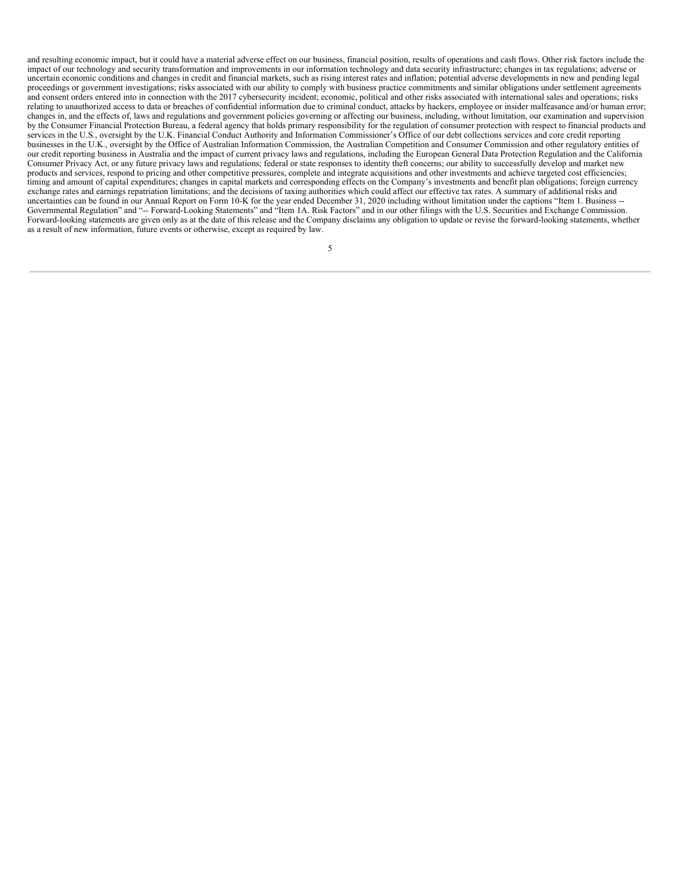and resulting economic impact, but it could have a material adverse effect on our business, financial position, results of operations and cash flows. Other risk factors include the impact of our technology and security transformation and improvements in our information technology and data security infrastructure; changes in tax regulations; adverse or uncertain economic conditions and changes in credit and financial markets, such as rising interest rates and inflation; potential adverse developments in new and pending legal proceedings or government investigations; risks associated with our ability to comply with business practice commitments and similar obligations under settlement agreements and consent orders entered into in connection with the 2017 cybersecurity incident; economic, political and other risks associated with international sales and operations; risks relating to unauthorized access to data or breaches of confidential information due to criminal conduct, attacks by hackers, employee or insider malfeasance and/or human error; changes in, and the effects of, laws and regulations and government policies governing or affecting our business, including, without limitation, our examination and supervision by the Consumer Financial Protection Bureau, a federal agency that holds primary responsibility for the regulation of consumer protection with respect to financial products and services in the U.S., oversight by the U.K. Financial Conduct Authority and Information Commissioner's Office of our debt collections services and core credit reporting businesses in the U.K., oversight by the Office of Australian Information Commission, the Australian Competition and Consumer Commission and other regulatory entities of our credit reporting business in Australia and the impact of current privacy laws and regulations, including the European General Data Protection Regulation and the California Consumer Privacy Act, or any future privacy laws and regulations; federal or state responses to identity theft concerns; our ability to successfully develop and market new products and services, respond to pricing and other competitive pressures, complete and integrate acquisitions and other investments and achieve targeted cost efficiencies; timing and amount of capital expenditures; changes in capital markets and corresponding effects on the Company's investments and benefit plan obligations; foreign currency exchange rates and earnings repatriation limitations; and the decisions of taxing authorities which could affect our effective tax rates. A summary of additional risks and uncertainties can be found in our Annual Report on Form 10-K for the year ended December 31, 2020 including without limitation under the captions "Item 1. Business -- Governmental Regulation" and "-- Forward-Looking Statements" and "Item 1A. Risk Factors" and in our other filings with the U.S. Securities and Exchange Commission. Forward-looking statements are given only as at the date of this release and the Company disclaims any obligation to update or revise the forward-looking statements, whether as a result of new information, future events or otherwise, except as required by law.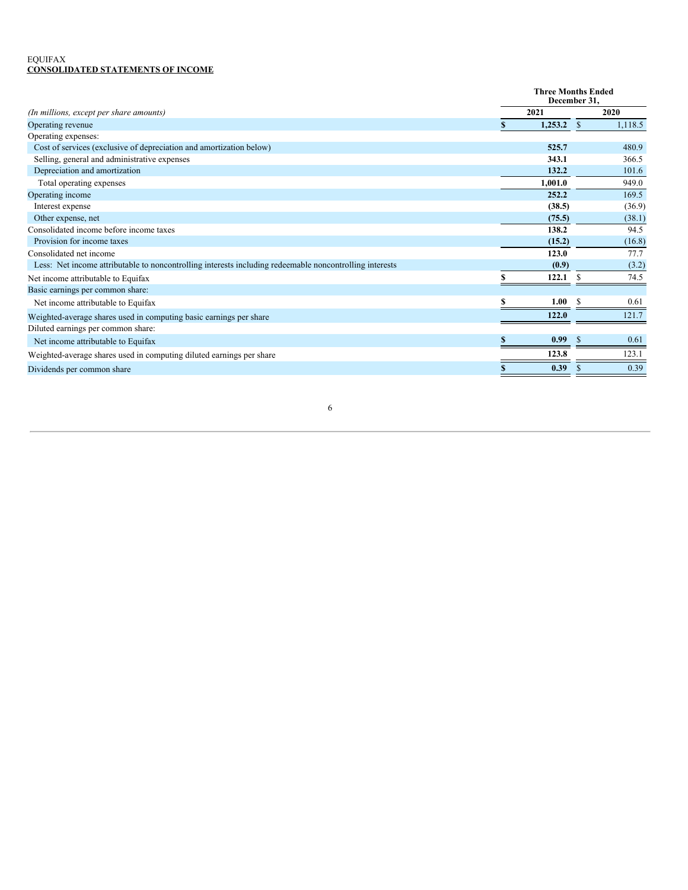### EQUIFAX **CONSOLIDATED STATEMENTS OF INCOME**

|                                                                                                         |    |         | <b>Three Months Ended</b><br>December 31. |         |  |
|---------------------------------------------------------------------------------------------------------|----|---------|-------------------------------------------|---------|--|
| (In millions, except per share amounts)                                                                 |    | 2021    |                                           | 2020    |  |
| Operating revenue                                                                                       | S. | 1,253.2 | <sup>S</sup>                              | 1,118.5 |  |
| Operating expenses:                                                                                     |    |         |                                           |         |  |
| Cost of services (exclusive of depreciation and amortization below)                                     |    | 525.7   |                                           | 480.9   |  |
| Selling, general and administrative expenses                                                            |    | 343.1   |                                           | 366.5   |  |
| Depreciation and amortization                                                                           |    | 132.2   |                                           | 101.6   |  |
| Total operating expenses                                                                                |    | 1,001.0 |                                           | 949.0   |  |
| Operating income                                                                                        |    | 252.2   |                                           | 169.5   |  |
| Interest expense                                                                                        |    | (38.5)  |                                           | (36.9)  |  |
| Other expense, net                                                                                      |    | (75.5)  |                                           | (38.1)  |  |
| Consolidated income before income taxes                                                                 |    | 138.2   |                                           | 94.5    |  |
| Provision for income taxes                                                                              |    | (15.2)  |                                           | (16.8)  |  |
| Consolidated net income                                                                                 |    | 123.0   |                                           | 77.7    |  |
| Less: Net income attributable to noncontrolling interests including redeemable noncontrolling interests |    | (0.9)   |                                           | (3.2)   |  |
| Net income attributable to Equifax                                                                      |    | 122.1   |                                           | 74.5    |  |
| Basic earnings per common share:                                                                        |    |         |                                           |         |  |
| Net income attributable to Equifax                                                                      | \$ | 1.00    | <sup>\$</sup>                             | 0.61    |  |
| Weighted-average shares used in computing basic earnings per share                                      |    | 122.0   |                                           | 121.7   |  |
| Diluted earnings per common share:                                                                      |    |         |                                           |         |  |
| Net income attributable to Equifax                                                                      | S. | 0.99    | <sup>\$</sup>                             | 0.61    |  |
| Weighted-average shares used in computing diluted earnings per share                                    |    | 123.8   |                                           | 123.1   |  |
| Dividends per common share                                                                              | \$ | 0.39    | \$.                                       | 0.39    |  |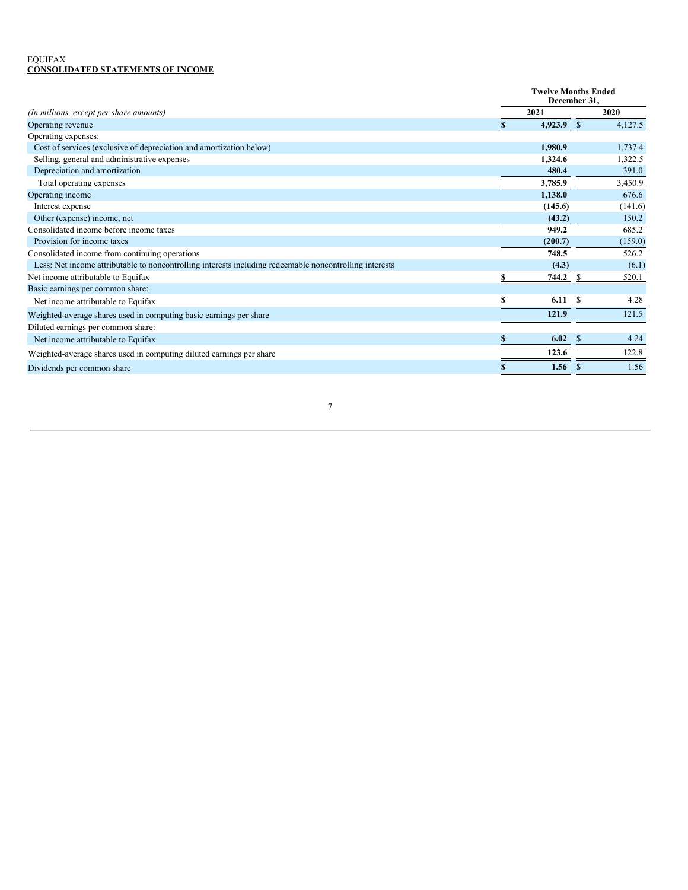### EQUIFAX **CONSOLIDATED STATEMENTS OF INCOME**

|                                                                                                         |     | <b>Twelve Months Ended</b><br>December 31. |               |         |  |
|---------------------------------------------------------------------------------------------------------|-----|--------------------------------------------|---------------|---------|--|
| (In millions, except per share amounts)                                                                 |     | 2021                                       |               | 2020    |  |
| Operating revenue                                                                                       |     | 4,923.9                                    | <sup>\$</sup> | 4,127.5 |  |
| Operating expenses:                                                                                     |     |                                            |               |         |  |
| Cost of services (exclusive of depreciation and amortization below)                                     |     | 1,980.9                                    |               | 1,737.4 |  |
| Selling, general and administrative expenses                                                            |     | 1,324.6                                    |               | 1,322.5 |  |
| Depreciation and amortization                                                                           |     | 480.4                                      |               | 391.0   |  |
| Total operating expenses                                                                                |     | 3,785.9                                    |               | 3,450.9 |  |
| Operating income                                                                                        |     | 1,138.0                                    |               | 676.6   |  |
| Interest expense                                                                                        |     | (145.6)                                    |               | (141.6) |  |
| Other (expense) income, net                                                                             |     | (43.2)                                     |               | 150.2   |  |
| Consolidated income before income taxes                                                                 |     | 949.2                                      |               | 685.2   |  |
| Provision for income taxes                                                                              |     | (200.7)                                    |               | (159.0) |  |
| Consolidated income from continuing operations                                                          |     | 748.5                                      |               | 526.2   |  |
| Less: Net income attributable to noncontrolling interests including redeemable noncontrolling interests |     | (4.3)                                      |               | (6.1)   |  |
| Net income attributable to Equifax                                                                      |     | 744.2                                      | -S            | 520.1   |  |
| Basic earnings per common share:                                                                        |     |                                            |               |         |  |
| Net income attributable to Equifax                                                                      |     | 6.11                                       | -S            | 4.28    |  |
| Weighted-average shares used in computing basic earnings per share                                      |     | 121.9                                      |               | 121.5   |  |
| Diluted earnings per common share:                                                                      |     |                                            |               |         |  |
| Net income attributable to Equifax                                                                      | \$. | 6.02                                       | -S            | 4.24    |  |
| Weighted-average shares used in computing diluted earnings per share                                    |     | 123.6                                      |               | 122.8   |  |
| Dividends per common share                                                                              | S   | 1.56                                       | <b>S</b>      | 1.56    |  |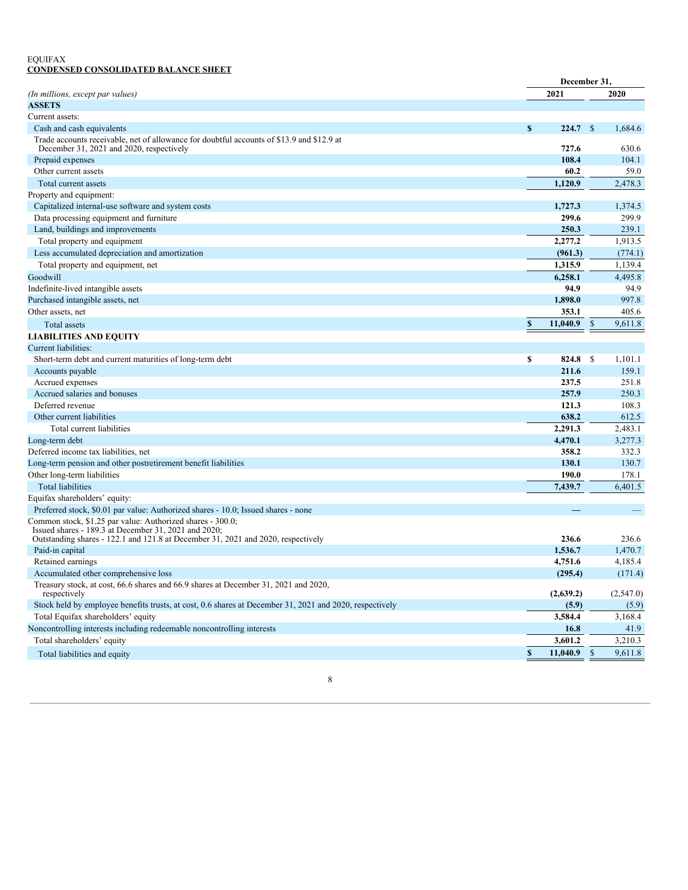### EQUIFAX **CONDENSED CONSOLIDATED BALANCE SHEET**

|                                                                                                                                       | December 31,   |                           |           |
|---------------------------------------------------------------------------------------------------------------------------------------|----------------|---------------------------|-----------|
| (In millions, except par values)                                                                                                      | 2021           |                           | 2020      |
| <b>ASSETS</b>                                                                                                                         |                |                           |           |
| Current assets:                                                                                                                       |                |                           |           |
| Cash and cash equivalents                                                                                                             | \$<br>224.7    | $\mathsf{\$}$             | 1.684.6   |
| Trade accounts receivable, net of allowance for doubtful accounts of \$13.9 and \$12.9 at<br>December 31, 2021 and 2020, respectively | 727.6          |                           | 630.6     |
| Prepaid expenses                                                                                                                      | 108.4          |                           | 104.1     |
| Other current assets                                                                                                                  | 60.2           |                           | 59.0      |
| Total current assets                                                                                                                  | 1.120.9        |                           | 2,478.3   |
| Property and equipment:                                                                                                               |                |                           |           |
| Capitalized internal-use software and system costs                                                                                    | 1,727.3        |                           | 1,374.5   |
| Data processing equipment and furniture                                                                                               | 299.6          |                           | 299.9     |
| Land, buildings and improvements                                                                                                      | 250.3          |                           | 239.1     |
| Total property and equipment                                                                                                          | 2,277.2        |                           | 1.913.5   |
| Less accumulated depreciation and amortization                                                                                        | (961.3)        |                           | (774.1)   |
| Total property and equipment, net                                                                                                     | 1,315.9        |                           | 1.139.4   |
| Goodwill                                                                                                                              | 6,258.1        |                           | 4,495.8   |
| Indefinite-lived intangible assets                                                                                                    | 94.9           |                           | 94.9      |
| Purchased intangible assets, net                                                                                                      | 1,898.0        |                           | 997.8     |
| Other assets, net                                                                                                                     | 353.1          |                           | 405.6     |
| Total assets                                                                                                                          | \$<br>11,040.9 | $\boldsymbol{\mathsf{S}}$ | 9.611.8   |
| <b>LIABILITIES AND EQUITY</b>                                                                                                         |                |                           |           |
| Current liabilities:                                                                                                                  |                |                           |           |
| Short-term debt and current maturities of long-term debt                                                                              | \$<br>824.8    | \$                        | 1,101.1   |
| Accounts payable                                                                                                                      | 211.6          |                           | 159.1     |
| Accrued expenses                                                                                                                      | 237.5          |                           | 251.8     |
| Accrued salaries and bonuses                                                                                                          | 257.9          |                           | 250.3     |
| Deferred revenue                                                                                                                      | 121.3          |                           | 108.3     |
| Other current liabilities                                                                                                             | 638.2          |                           | 612.5     |
| Total current liabilities                                                                                                             | 2,291.3        |                           | 2,483.1   |
| Long-term debt                                                                                                                        | 4,470.1        |                           | 3,277.3   |
| Deferred income tax liabilities, net                                                                                                  | 358.2          |                           | 332.3     |
| Long-term pension and other postretirement benefit liabilities                                                                        | 130.1          |                           | 130.7     |
| Other long-term liabilities                                                                                                           | 190.0          |                           | 178.1     |
| <b>Total liabilities</b>                                                                                                              | 7,439.7        |                           | 6,401.5   |
| Equifax shareholders' equity:                                                                                                         |                |                           |           |
| Preferred stock, \$0.01 par value: Authorized shares - 10.0; Issued shares - none                                                     |                |                           |           |
| Common stock, \$1.25 par value: Authorized shares - 300.0;<br>Issued shares - 189.3 at December 31, 2021 and 2020;                    |                |                           |           |
| Outstanding shares - 122.1 and 121.8 at December 31, 2021 and 2020, respectively                                                      | 236.6          |                           | 236.6     |
| Paid-in capital                                                                                                                       | 1,536.7        |                           | 1.470.7   |
| Retained earnings                                                                                                                     | 4,751.6        |                           | 4,185.4   |
| Accumulated other comprehensive loss                                                                                                  | (295.4)        |                           | (171.4)   |
| Treasury stock, at cost, 66.6 shares and 66.9 shares at December 31, 2021 and 2020,<br>respectively                                   | (2,639.2)      |                           | (2,547.0) |
| Stock held by employee benefits trusts, at cost, 0.6 shares at December 31, 2021 and 2020, respectively                               | (5.9)          |                           | (5.9)     |
| Total Equifax shareholders' equity                                                                                                    | 3,584.4        |                           | 3.168.4   |
| Noncontrolling interests including redeemable noncontrolling interests                                                                | 16.8           |                           | 41.9      |
| Total shareholders' equity                                                                                                            | 3,601.2        |                           | 3,210.3   |
| Total liabilities and equity                                                                                                          | \$<br>11,040.9 | $\mathbb{S}$              | 9,611.8   |

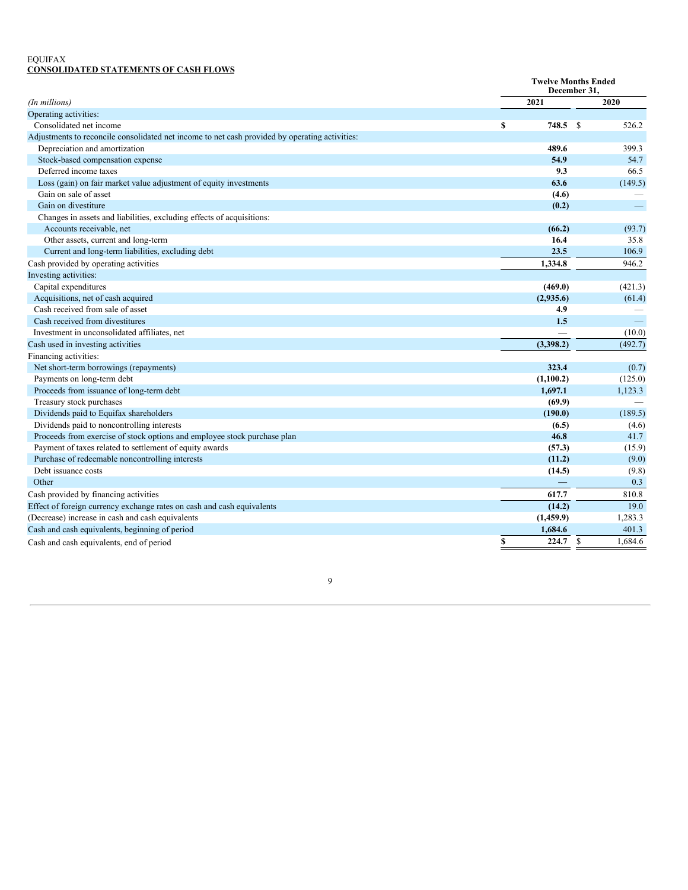### EQUIFAX **CONSOLIDATED STATEMENTS OF CASH FLOWS**

|                                                                                                |               | <b>Twelve Months Ended</b><br>December 31, |  |  |  |
|------------------------------------------------------------------------------------------------|---------------|--------------------------------------------|--|--|--|
| (In millions)                                                                                  | 2021          | 2020                                       |  |  |  |
| Operating activities:                                                                          |               |                                            |  |  |  |
| Consolidated net income                                                                        | 748.5 \$<br>S | 526.2                                      |  |  |  |
| Adjustments to reconcile consolidated net income to net cash provided by operating activities: |               |                                            |  |  |  |
| Depreciation and amortization                                                                  | 489.6         | 399.3                                      |  |  |  |
| Stock-based compensation expense                                                               | 54.9          | 54.7                                       |  |  |  |
| Deferred income taxes                                                                          | 9.3           | 66.5                                       |  |  |  |
| Loss (gain) on fair market value adjustment of equity investments                              | 63.6          | (149.5)                                    |  |  |  |
| Gain on sale of asset                                                                          | (4.6)         |                                            |  |  |  |
| Gain on divestiture                                                                            | (0.2)         |                                            |  |  |  |
| Changes in assets and liabilities, excluding effects of acquisitions:                          |               |                                            |  |  |  |
| Accounts receivable, net                                                                       | (66.2)        | (93.7)                                     |  |  |  |
| Other assets, current and long-term                                                            | 16.4          | 35.8                                       |  |  |  |
| Current and long-term liabilities, excluding debt                                              | 23.5          | 106.9                                      |  |  |  |
| Cash provided by operating activities                                                          | 1,334.8       | 946.2                                      |  |  |  |
| Investing activities:                                                                          |               |                                            |  |  |  |
| Capital expenditures                                                                           | (469.0)       | (421.3)                                    |  |  |  |
| Acquisitions, net of cash acquired                                                             | (2,935.6)     | (61.4)                                     |  |  |  |
| Cash received from sale of asset                                                               | 4.9           |                                            |  |  |  |
| Cash received from divestitures                                                                | 1.5           | $\overline{\phantom{0}}$                   |  |  |  |
| Investment in unconsolidated affiliates, net                                                   |               | (10.0)                                     |  |  |  |
| Cash used in investing activities                                                              | (3,398.2)     | (492.7)                                    |  |  |  |
| Financing activities:                                                                          |               |                                            |  |  |  |
| Net short-term borrowings (repayments)                                                         | 323.4         | (0.7)                                      |  |  |  |
| Payments on long-term debt                                                                     | (1,100.2)     | (125.0)                                    |  |  |  |
| Proceeds from issuance of long-term debt                                                       | 1,697.1       | 1,123.3                                    |  |  |  |
| Treasury stock purchases                                                                       | (69.9)        |                                            |  |  |  |
| Dividends paid to Equifax shareholders                                                         | (190.0)       | (189.5)                                    |  |  |  |
| Dividends paid to noncontrolling interests                                                     | (6.5)         | (4.6)                                      |  |  |  |
| Proceeds from exercise of stock options and employee stock purchase plan                       | 46.8          | 41.7                                       |  |  |  |
| Payment of taxes related to settlement of equity awards                                        | (57.3)        | (15.9)                                     |  |  |  |
| Purchase of redeemable noncontrolling interests                                                | (11.2)        | (9.0)                                      |  |  |  |
| Debt issuance costs                                                                            | (14.5)        | (9.8)                                      |  |  |  |
| Other                                                                                          |               | 0.3                                        |  |  |  |
| Cash provided by financing activities                                                          | 617.7         | 810.8                                      |  |  |  |
| Effect of foreign currency exchange rates on cash and cash equivalents                         | (14.2)        | 19.0                                       |  |  |  |
| (Decrease) increase in cash and cash equivalents                                               | (1,459.9)     | 1,283.3                                    |  |  |  |
| Cash and cash equivalents, beginning of period                                                 | 1,684.6       | 401.3                                      |  |  |  |
| Cash and cash equivalents, end of period                                                       | 224.7<br>\$   | - S<br>1.684.6                             |  |  |  |
|                                                                                                |               |                                            |  |  |  |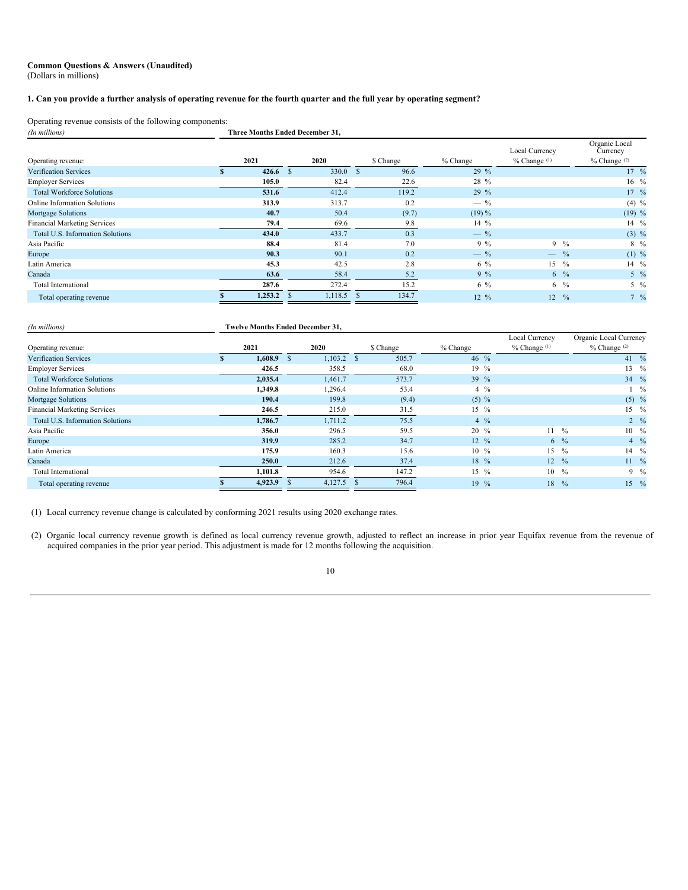### **Common Questions & Answers (Unaudited)** (Dollars in millions)

### 1. Can you provide a further analysis of operating revenue for the fourth quarter and the full year by operating segment?

Operating revenue consists of the following components:<br> *(In millions) (In millions)* **Three Months Ended December 31,**

|                                     |                     |              |           |                  | Local Currency      | Organic Local<br>Currency |
|-------------------------------------|---------------------|--------------|-----------|------------------|---------------------|---------------------------|
| Operating revenue:                  | 2021                | 2020         | \$ Change | % Change         | $%$ Change $(1)$    | $%$ Change $(2)$          |
| <b>Verification Services</b>        | 426.6 $\sqrt$<br>×. | 330.0 S      | 96.6      | 29 %             |                     | $17 \frac{9}{6}$          |
| <b>Employer Services</b>            | 105.0               | 82.4         | 22.6      | 28 %             |                     | $16\frac{9}{6}$           |
| <b>Total Workforce Solutions</b>    | 531.6               | 412.4        | 119.2     | $29\%$           |                     | $17 \frac{9}{6}$          |
| <b>Online Information Solutions</b> | 313.9               | 313.7        | 0.2       | $-$ %            |                     | $(4)$ %                   |
| Mortgage Solutions                  | 40.7                | 50.4         | (9.7)     | $(19)\%$         |                     | $(19)$ %                  |
| <b>Financial Marketing Services</b> | 79.4                | 69.6         | 9.8       | $14\%$           |                     | $14 \frac{9}{6}$          |
| Total U.S. Information Solutions    | 434.0               | 433.7        | 0.3       | $-$ %            |                     | $(3)$ %                   |
| Asia Pacific                        | 88.4                | 81.4         | 7.0       | $9\%$            | $9\frac{6}{6}$      | $8\frac{9}{6}$            |
| Europe                              | 90.3                | 90.1         | 0.2       | $-$ %            | $-$ %               | $(1)$ %                   |
| Latin America                       | 45.3                | 42.5         | 2.8       | $6\%$            | 15<br>$\frac{0}{0}$ | 14 %                      |
| Canada                              | 63.6                | 58.4         | 5.2       | $9\%$            | $6\frac{9}{6}$      | $5\frac{9}{6}$            |
| Total International                 | 287.6               | 272.4        | 15.2      | $6\%$            | $6\frac{6}{10}$     | $5\frac{9}{6}$            |
| Total operating revenue             | 1,253.2             | $1,118.5$ \$ | 134.7     | $12 \frac{9}{6}$ | $12 \frac{9}{6}$    | $7\frac{9}{6}$            |

| (In millions)                       | <b>Twelve Months Ended December 31,</b> |                    |           |                  |                                    |                                            |  |  |  |  |  |  |  |
|-------------------------------------|-----------------------------------------|--------------------|-----------|------------------|------------------------------------|--------------------------------------------|--|--|--|--|--|--|--|
| Operating revenue:                  | 2021                                    | 2020               | \$ Change | $%$ Change       | Local Currency<br>$%$ Change $(1)$ | Organic Local Currency<br>$%$ Change $(2)$ |  |  |  |  |  |  |  |
| <b>Verification Services</b>        | 1,608.9                                 | $1,103.2$ \$<br>-8 | 505.7     | 46 $\frac{9}{6}$ |                                    | 41 %                                       |  |  |  |  |  |  |  |
| <b>Employer Services</b>            | 426.5                                   | 358.5              | 68.0      | $19\%$           |                                    | $13 \frac{9}{6}$                           |  |  |  |  |  |  |  |
| <b>Total Workforce Solutions</b>    | 2,035.4                                 | 1,461.7            | 573.7     | 39 $\%$          |                                    | 34 $\frac{9}{6}$                           |  |  |  |  |  |  |  |
| <b>Online Information Solutions</b> | 1,349.8                                 | 1,296.4            | 53.4      | $4\frac{6}{6}$   |                                    | $\%$                                       |  |  |  |  |  |  |  |
| Mortgage Solutions                  | 190.4                                   | 199.8              | (9.4)     | $(5) \%$         |                                    | $(5)$ %                                    |  |  |  |  |  |  |  |
| <b>Financial Marketing Services</b> | 246.5                                   | 215.0              | 31.5      | $15 \frac{9}{6}$ |                                    | $15 \frac{9}{6}$                           |  |  |  |  |  |  |  |
| Total U.S. Information Solutions    | 1,786.7                                 | 1,711.2            | 75.5      | $4\frac{9}{6}$   |                                    | $2 \frac{9}{6}$                            |  |  |  |  |  |  |  |
| Asia Pacific                        | 356.0                                   | 296.5              | 59.5      | $20\%$           | $11 \frac{9}{6}$                   | $10 \frac{9}{6}$                           |  |  |  |  |  |  |  |
| Europe                              | 319.9                                   | 285.2              | 34.7      | $12 \frac{9}{6}$ | $6\frac{9}{6}$                     | $4\frac{6}{6}$                             |  |  |  |  |  |  |  |
| Latin America                       | 175.9                                   | 160.3              | 15.6      | $10 \frac{9}{6}$ | $15 \frac{9}{6}$                   | $14 \frac{9}{6}$                           |  |  |  |  |  |  |  |
| Canada                              | 250.0                                   | 212.6              | 37.4      | $18\%$           | 12                                 | $\frac{0}{0}$<br>$11 \frac{9}{6}$          |  |  |  |  |  |  |  |
| Total International                 | 1,101.8                                 | 954.6              | 147.2     | $15 \frac{9}{6}$ | $10 \frac{9}{6}$                   | $9 \frac{6}{6}$                            |  |  |  |  |  |  |  |
| Total operating revenue             | 4,923.9                                 | 4,127.5            | 796.4     | $19\%$           | 18                                 | $15 \frac{9}{6}$<br>$\frac{0}{0}$          |  |  |  |  |  |  |  |

(1) Local currency revenue change is calculated by conforming 2021 results using 2020 exchange rates.

(2) Organic local currency revenue growth is defined as local currency revenue growth, adjusted to reflect an increase in prior year Equifax revenue from the revenue of acquired companies in the prior year period. This adjustment is made for 12 months following the acquisition.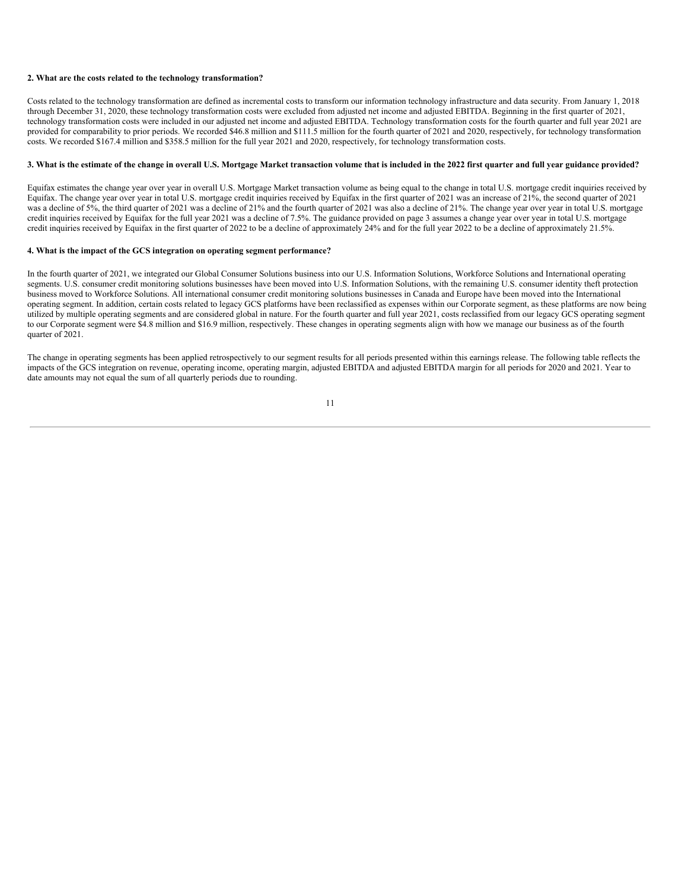### **2. What are the costs related to the technology transformation?**

Costs related to the technology transformation are defined as incremental costs to transform our information technology infrastructure and data security. From January 1, 2018 through December 31, 2020, these technology transformation costs were excluded from adjusted net income and adjusted EBITDA. Beginning in the first quarter of 2021, technology transformation costs were included in our adjusted net income and adjusted EBITDA. Technology transformation costs for the fourth quarter and full year 2021 are provided for comparability to prior periods. We recorded \$46.8 million and \$111.5 million for the fourth quarter of 2021 and 2020, respectively, for technology transformation costs. We recorded \$167.4 million and \$358.5 million for the full year 2021 and 2020, respectively, for technology transformation costs.

### 3. What is the estimate of the change in overall U.S. Mortgage Market transaction volume that is included in the 2022 first quarter and full year guidance provided?

Equifax estimates the change year over year in overall U.S. Mortgage Market transaction volume as being equal to the change in total U.S. mortgage credit inquiries received by Equifax. The change year over year in total U.S. mortgage credit inquiries received by Equifax in the first quarter of 2021 was an increase of 21%, the second quarter of 2021 was a decline of 5%, the third quarter of 2021 was a decline of 21% and the fourth quarter of 2021 was also a decline of 21%. The change year over year in total U.S. mortgage credit inquiries received by Equifax for the full year 2021 was a decline of 7.5%. The guidance provided on page 3 assumes a change year over year in total U.S. mortgage credit inquiries received by Equifax in the first quarter of 2022 to be a decline of approximately 24% and for the full year 2022 to be a decline of approximately 21.5%.

#### **4. What is the impact of the GCS integration on operating segment performance?**

In the fourth quarter of 2021, we integrated our Global Consumer Solutions business into our U.S. Information Solutions, Workforce Solutions and International operating segments. U.S. consumer credit monitoring solutions businesses have been moved into U.S. Information Solutions, with the remaining U.S. consumer identity theft protection business moved to Workforce Solutions. All international consumer credit monitoring solutions businesses in Canada and Europe have been moved into the International operating segment. In addition, certain costs related to legacy GCS platforms have been reclassified as expenses within our Corporate segment, as these platforms are now being utilized by multiple operating segments and are considered global in nature. For the fourth quarter and full year 2021, costs reclassified from our legacy GCS operating segment to our Corporate segment were \$4.8 million and \$16.9 million, respectively. These changes in operating segments align with how we manage our business as of the fourth quarter of 2021.

The change in operating segments has been applied retrospectively to our segment results for all periods presented within this earnings release. The following table reflects the impacts of the GCS integration on revenue, operating income, operating margin, adjusted EBITDA and adjusted EBITDA margin for all periods for 2020 and 2021. Year to date amounts may not equal the sum of all quarterly periods due to rounding.

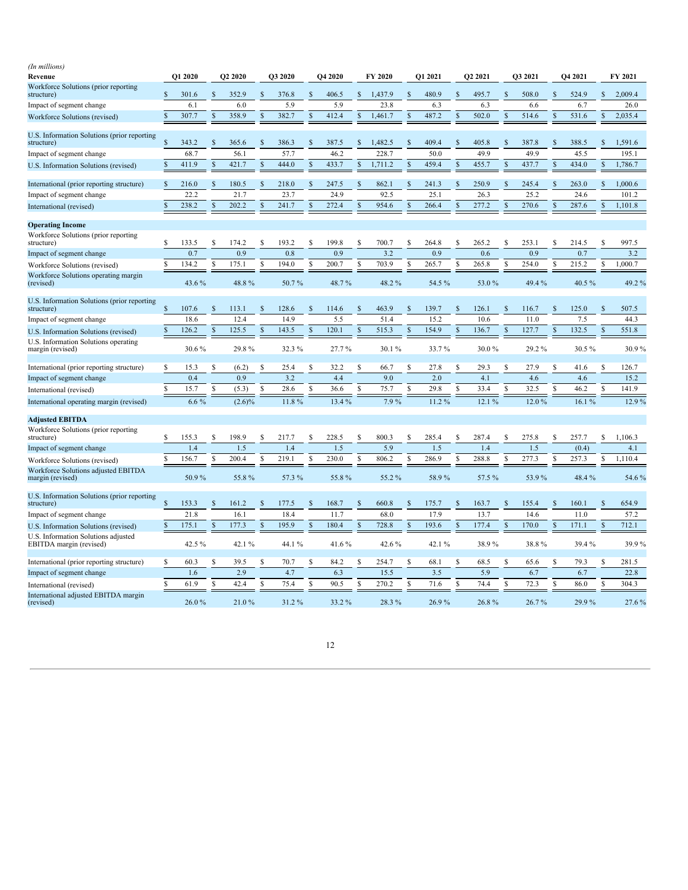<span id="page-14-0"></span>

| (In millions)                                                  |               |         |               |                |               |                |                    |                |          |         |          |          |               |                     |                    |         |          |         |                    |         |
|----------------------------------------------------------------|---------------|---------|---------------|----------------|---------------|----------------|--------------------|----------------|----------|---------|----------|----------|---------------|---------------------|--------------------|---------|----------|---------|--------------------|---------|
| Revenue                                                        |               | Q1 2020 |               | <b>O2 2020</b> |               | <b>O3 2020</b> |                    | <b>O4 2020</b> |          | FY 2020 |          | O1 2021  |               | O <sub>2</sub> 2021 |                    | O3 2021 |          | O4 2021 |                    | FY 2021 |
| Workforce Solutions (prior reporting<br>structure)             | \$            | 301.6   |               | 352.9          | $\mathcal{S}$ | 376.8          | $\mathbf{\hat{S}}$ | 406.5          |          | 1,437.9 |          | 480.9    | $\mathcal{S}$ | 495.7               | $\mathbf{\hat{S}}$ | 508.0   |          | 524.9   | $\mathbf{\hat{S}}$ | 2,009.4 |
| Impact of segment change                                       |               | 6.1     |               | 6.0            |               | 5.9            |                    | 5.9            |          | 23.8    |          | 6.3      |               | 6.3                 |                    | 6.6     |          | 6.7     |                    | 26.0    |
| <b>Workforce Solutions (revised)</b>                           | \$            | 307.7   | \$            | 358.9          | \$            | 382.7          | \$                 | 412.4          | \$       | 1,461.7 |          | 487.2    | <sup>\$</sup> | 502.0               | <sup>\$</sup>      | 514.6   | \$       | 531.6   | $\mathbb{S}$       | 2,035.4 |
| U.S. Information Solutions (prior reporting<br>structure)      | $\mathbf{s}$  | 343.2   | <b>S</b>      | 365.6          | <sup>\$</sup> | 386.3          | $\mathbf{s}$       | 387.5          | S        | 1.482.5 | <b>S</b> | 409.4    | S             | 405.8               | S                  | 387.8   | <b>S</b> | 388.5   | $\mathcal{S}$      | 1.591.6 |
| Impact of segment change                                       |               | 68.7    |               | 56.1           |               | 57.7           |                    | 46.2           |          | 228.7   |          | 50.0     |               | 49.9                |                    | 49.9    |          | 45.5    |                    | 195.1   |
| U.S. Information Solutions (revised)                           |               | 411.9   | <b>S</b>      | 421.7          | \$.           | 444.0          | \$                 | 433.7          |          | 1,711.2 |          | 459.4    |               | 455.7               | S                  | 437.7   |          | 434.0   |                    | 1,786.7 |
| International (prior reporting structure)                      | \$            | 216.0   | \$            | 180.5          | $\mathbb{S}$  | 218.0          | \$                 | 247.5          | <b>S</b> | 862.1   |          | 241.3    | <sup>\$</sup> | 250.9               | \$                 | 245.4   | <b>S</b> | 263.0   | $\mathbb{S}$       | 1,000.6 |
| Impact of segment change                                       |               | 22.2    |               | 21.7           |               | 23.7           |                    | 24.9           |          | 92.5    |          | 25.1     |               | 26.3                |                    | 25.2    |          | 24.6    |                    | 101.2   |
| International (revised)                                        | \$            | 238.2   | $\mathcal{S}$ | 202.2          | $\mathcal{S}$ | 241.7          | $\mathsf{\$}$      | 272.4          | <b>S</b> | 954.6   | <b>S</b> | 266.4    | $\mathbb{S}$  | 277.2               | <sup>\$</sup>      | 270.6   | <b>S</b> | 287.6   | $\mathbb{S}$       | 1,101.8 |
| <b>Operating Income</b>                                        |               |         |               |                |               |                |                    |                |          |         |          |          |               |                     |                    |         |          |         |                    |         |
| Workforce Solutions (prior reporting<br>structure)             | S             | 133.5   | S             | 174.2          | <sup>\$</sup> | 193.2          | S                  | 199.8          |          | 700.7   |          | 264.8    | <b>S</b>      | 265.2               | S                  | 253.1   |          | 214.5   |                    | 997.5   |
| Impact of segment change                                       |               | 0.7     |               | 0.9            |               | 0.8            |                    | 0.9            |          | 3.2     |          | 0.9      |               | 0.6                 |                    | 0.9     |          | 0.7     |                    | 3.2     |
| Workforce Solutions (revised)                                  | \$            | 134.2   | \$            | 175.1          | \$            | 194.0          | \$                 | 200.7          | S        | 703.9   | S        | 265.7    | S             | 265.8               | \$                 | 254.0   | S        | 215.2   | S                  | 1,000.7 |
| Workforce Solutions operating margin<br>(revised)              |               | 43.6 %  |               | 48.8%          |               | 50.7%          |                    | 48.7%          |          | 48.2%   |          | 54.5%    |               | 53.0%               |                    | 49.4 %  |          | 40.5%   |                    | 49.2%   |
| U.S. Information Solutions (prior reporting<br>structure)      | \$            | 107.6   | \$            | 113.1          | $\mathbb{S}$  | 128.6          | \$                 | 114.6          | S        | 463.9   | S        | 139.7    | <sup>\$</sup> | 126.1               | \$                 | 116.7   | S        | 125.0   | $\mathbb{S}$       | 507.5   |
| Impact of segment change                                       |               | 18.6    |               | 12.4           |               | 14.9           |                    | 5.5            |          | 51.4    |          | 15.2     |               | 10.6                |                    | 11.0    |          | 7.5     |                    | 44.3    |
| U.S. Information Solutions (revised)                           | \$            | 126.2   | \$            | 125.5          | $\mathbb{S}$  | 143.5          | \$                 | 120.1          | S        | 515.3   | -S       | 154.9    | $\mathcal{S}$ | 136.7               | \$                 | 127.7   | <b>S</b> | 132.5   | $\mathbb{S}$       | 551.8   |
| U.S. Information Solutions operating<br>margin (revised)       |               | 30.6%   |               | 29.8%          |               | 32.3 %         |                    | 27.7%          |          | 30.1%   |          | 33.7%    |               | 30.0%               |                    | 29.2%   |          | 30.5%   |                    | 30.9%   |
| International (prior reporting structure)                      | S             | 15.3    | \$            | (6.2)          | \$            | 25.4           | $\mathbb{S}$       | 32.2           | S        | 66.7    | <b>S</b> | 27.8     | \$            | 29.3                | \$                 | 27.9    | S        | 41.6    | S                  | 126.7   |
| Impact of segment change                                       |               | 0.4     |               | 0.9            |               | 3.2            |                    | 4.4            |          | 9.0     |          | 2.0      |               | 4.1                 |                    | 4.6     |          | 4.6     |                    | 15.2    |
| International (revised)                                        | \$            | 15.7    | S             | (5.3)          | <sup>\$</sup> | 28.6           | \$                 | 36.6           |          | 75.7    |          | 29.8     | £.            | 33.4                | \$.                | 32.5    |          | 46.2    | $\mathcal{S}$      | 141.9   |
| International operating margin (revised)                       |               | 6.6 $%$ |               | $(2.6)\%$      |               | 11.8%          |                    | 13.4 %         |          | 7.9%    |          | 11.2%    |               | 12.1 %              |                    | 12.0%   |          | 16.1%   |                    | 12.9%   |
| <b>Adjusted EBITDA</b>                                         |               |         |               |                |               |                |                    |                |          |         |          |          |               |                     |                    |         |          |         |                    |         |
| Workforce Solutions (prior reporting<br>structure)             | \$            | 155.3   | S             | 198.9          | \$            | 217.7          | S                  | 228.5          | S        | 800.3   |          | 285.4    | S             | 287.4               | S                  | 275.8   |          | 257.7   | S                  | 1,106.3 |
| Impact of segment change                                       |               | 1.4     |               | 1.5            |               | 1.4            |                    | 1.5            |          | 5.9     |          | 1.5      |               | 1.4                 |                    | 1.5     |          | (0.4)   |                    | 4.1     |
| Workforce Solutions (revised)                                  | \$.           | 156.7   | S             | 200.4          | \$            | 219.1          | \$                 | 230.0          | S        | 806.2   |          | 286.9    | S             | 288.8               | \$.                | 277.3   |          | 257.3   | S                  | 1,110.4 |
| Workforce Solutions adjusted EBITDA<br>margin (revised)        |               | 50.9%   |               | 55.8%          |               | 57.3 %         |                    | 55.8%          |          | 55.2%   |          | 58.9%    |               | 57.5%               |                    | 53.9%   |          | 48.4%   |                    | 54.6%   |
| U.S. Information Solutions (prior reporting<br>structure)      | \$            | 153.3   | S             | 161.2          | <sup>\$</sup> | 177.5          | \$                 | 168.7          |          | 660.8   |          | 175.7    | <sup>\$</sup> | 163.7               | S                  | 155.4   |          | 160.1   | S.                 | 654.9   |
| Impact of segment change                                       |               | 21.8    |               | 16.1           |               | 18.4           |                    | 11.7           |          | 68.0    |          | 17.9     |               | 13.7                |                    | 14.6    |          | 11.0    |                    | 57.2    |
| U.S. Information Solutions (revised)                           | $\mathcal{S}$ | 175.1   | \$            | 177.3          | $\mathcal{S}$ | 195.9          | \$                 | 180.4          |          | 728.8   |          | 193.6    |               | 177.4               | S                  | 170.0   |          | 171.1   | $\mathcal{S}$      | 712.1   |
| U.S. Information Solutions adjusted<br>EBITDA margin (revised) |               | 42.5 %  |               | 42.1%          |               | 44.1%          |                    | 41.6 $%$       |          | 42.6%   |          | 42.1 $%$ |               | 38.9%               |                    | 38.8%   |          | 39.4%   |                    | 39.9%   |
| International (prior reporting structure)                      | $\mathbf S$   | 60.3    | S             | 39.5           | <sup>\$</sup> | 70.7           | $\mathbf S$        | 84.2           | S        | 254.7   | S        | 68.1     | <sup>\$</sup> | 68.5                | S                  | 65.6    | S        | 79.3    | ${\mathbb S}$      | 281.5   |
| Impact of segment change                                       |               | 1.6     |               | 2.9            |               | 4.7            |                    | 6.3            |          | 15.5    |          | 3.5      |               | 5.9                 |                    | 6.7     |          | 6.7     |                    | 22.8    |
| International (revised)                                        | S             | 61.9    | S             | 42.4           | <sup>\$</sup> | 75.4           | S                  | 90.5           |          | 270.2   |          | 71.6     | <b>S</b>      | 74.4                | S                  | 72.3    |          | 86.0    | S                  | 304.3   |
| International adjusted EBITDA margin<br>(revised)              |               | 26.0%   |               | 21.0%          |               | 31.2%          |                    | 33.2%          |          | 28.3%   |          | 26.9%    |               | 26.8%               |                    | 26.7%   |          | 29.9%   |                    | 27.6%   |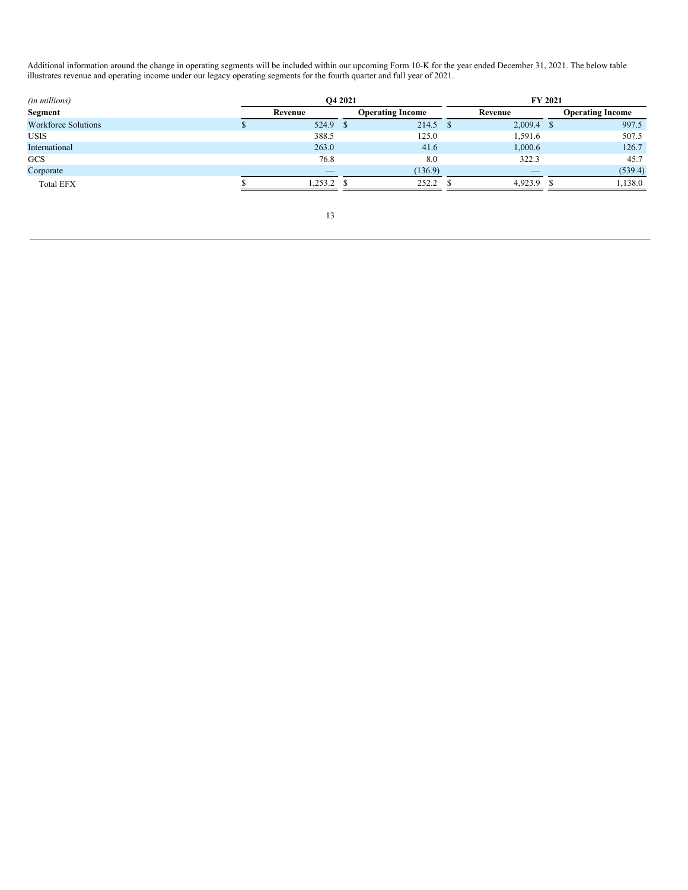Additional information around the change in operating segments will be included within our upcoming Form 10-K for the year ended December 31, 2021. The below table illustrates revenue and operating income under our legacy operating segments for the fourth quarter and full year of 2021.

| (in millions)              |                          | <b>O4 2021</b>          | <b>FY 2021</b>           |                         |  |  |  |  |
|----------------------------|--------------------------|-------------------------|--------------------------|-------------------------|--|--|--|--|
| <b>Segment</b>             | Revenue                  | <b>Operating Income</b> | Revenue                  | <b>Operating Income</b> |  |  |  |  |
| <b>Workforce Solutions</b> | 524.9 \$                 | 214.5                   | 2,009.4                  | 997.5                   |  |  |  |  |
| <b>USIS</b>                | 388.5                    | 125.0                   | 1,591.6                  | 507.5                   |  |  |  |  |
| International              | 263.0                    | 41.6                    | 1,000.6                  | 126.7                   |  |  |  |  |
| GCS                        | 76.8                     | 8.0                     | 322.3                    | 45.7                    |  |  |  |  |
| Corporate                  | $\overline{\phantom{a}}$ | (136.9)                 | $\overline{\phantom{a}}$ | (539.4)                 |  |  |  |  |
| <b>Total EFX</b>           | 253.2                    | 252.2                   | 4,923.9                  | 1,138.0                 |  |  |  |  |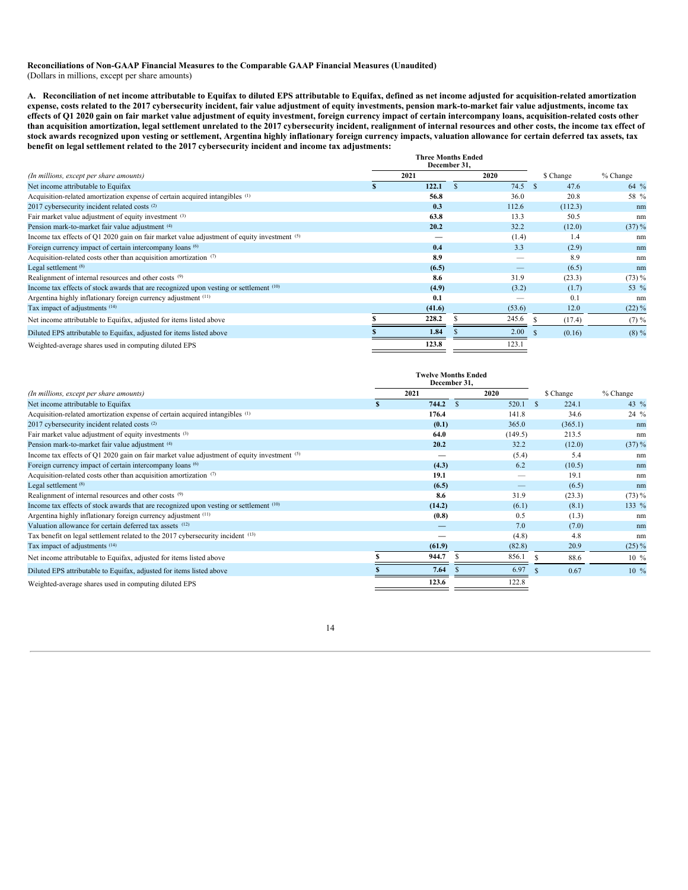### **Reconciliations of Non-GAAP Financial Measures to the Comparable GAAP Financial Measures (Unaudited)** (Dollars in millions, except per share amounts)

A. Reconciliation of net income attributable to Equifax to diluted EPS attributable to Equifax, defined as net income adjusted for acquisition-related amortization expense, costs related to the 2017 cybersecurity incident, fair value adjustment of equity investments, pension mark-to-market fair value adjustments, income tax effects of Q1 2020 gain on fair market value adjustment of equity investment, foreign currency impact of certain intercompany loans, acquisition-related costs other than acquisition amortization, legal settlement unrelated to the 2017 cybersecurity incident, realignment of internal resources and other costs, the income tax effect of stock awards recognized upon vesting or settlement, Argentina highly inflationary foreign currency impacts, valuation allowance for certain deferred tax assets, tax **benefit on legal settlement related to the 2017 cybersecurity incident and income tax adjustments:**

|                                                                                                   |      | <b>Three Months Ended</b><br>December 31, |  |        |    |           |           |
|---------------------------------------------------------------------------------------------------|------|-------------------------------------------|--|--------|----|-----------|-----------|
| (In millions, except per share amounts)                                                           | 2021 |                                           |  | 2020   |    | \$ Change | % Change  |
| Net income attributable to Equifax                                                                |      | 122.1                                     |  | 74.5   | -S | 47.6      | 64 %      |
| Acquisition-related amortization expense of certain acquired intangibles (1)                      |      | 56.8                                      |  | 36.0   |    | 20.8      | 58 %      |
| 2017 cybersecurity incident related costs <sup>(2)</sup>                                          |      | 0.3                                       |  | 112.6  |    | (112.3)   | nm        |
| Fair market value adjustment of equity investment (3)                                             |      | 63.8                                      |  | 13.3   |    | 50.5      | nm        |
| Pension mark-to-market fair value adjustment (4)                                                  |      | 20.2                                      |  | 32.2   |    | (12.0)    | $(37) \%$ |
| Income tax effects of Q1 2020 gain on fair market value adjustment of equity investment (5)       |      | _                                         |  | (1.4)  |    | 1.4       | nm        |
| Foreign currency impact of certain intercompany loans (6)                                         |      | 0.4                                       |  | 3.3    |    | (2.9)     | nm        |
| Acquisition-related costs other than acquisition amortization $(7)$                               |      | 8.9                                       |  |        |    | 8.9       | nm        |
| Legal settlement (8)                                                                              |      | (6.5)                                     |  |        |    | (6.5)     | nm        |
| Realignment of internal resources and other costs (9)                                             |      | 8.6                                       |  | 31.9   |    | (23.3)    | $(73) \%$ |
| Income tax effects of stock awards that are recognized upon vesting or settlement <sup>(10)</sup> |      | (4.9)                                     |  | (3.2)  |    | (1.7)     | 53 %      |
| Argentina highly inflationary foreign currency adjustment (11)                                    |      | 0.1                                       |  |        |    | 0.1       | nm        |
| Tax impact of adjustments (14)                                                                    |      | (41.6)                                    |  | (53.6) |    | 12.0      | $(22)\%$  |
| Net income attributable to Equifax, adjusted for items listed above                               |      | 228.2                                     |  | 245.6  |    | (17.4)    | $(7) \%$  |
| Diluted EPS attributable to Equifax, adjusted for items listed above                              |      | 1.84                                      |  | 2.00   |    | (0.16)    | $(8) \%$  |
| Weighted-average shares used in computing diluted EPS                                             |      | 123.8                                     |  | 123.1  |    |           |           |

|                                                                                                   | <b>Twelve Months Ended</b><br>December 31, |               |                                           |    |           |                  |
|---------------------------------------------------------------------------------------------------|--------------------------------------------|---------------|-------------------------------------------|----|-----------|------------------|
| (In millions, except per share amounts)                                                           | 2021                                       |               | 2020                                      |    | \$ Change | % Change         |
| Net income attributable to Equifax                                                                | 744.2                                      | $\mathcal{S}$ | 520.1                                     |    | 224.1     | 43 $\%$          |
| Acquisition-related amortization expense of certain acquired intangibles (1)                      | 176.4                                      |               | 141.8                                     |    | 34.6      | 24 %             |
| 2017 cybersecurity incident related costs <sup>(2)</sup>                                          | (0.1)                                      |               | 365.0                                     |    | (365.1)   | nm               |
| Fair market value adjustment of equity investments (3)                                            | 64.0                                       |               | (149.5)                                   |    | 213.5     | nm               |
| Pension mark-to-market fair value adjustment (4)                                                  | 20.2                                       |               | 32.2                                      |    | (12.0)    | $(37) \%$        |
| Income tax effects of Q1 2020 gain on fair market value adjustment of equity investment (5)       |                                            |               | (5.4)                                     |    | 5.4       | nm               |
| Foreign currency impact of certain intercompany loans (6)                                         | (4.3)                                      |               | 6.2                                       |    | (10.5)    | nm               |
| Acquisition-related costs other than acquisition amortization (7)                                 | 19.1                                       |               |                                           |    | 19.1      | nm               |
| Legal settlement <sup>(8)</sup>                                                                   | (6.5)                                      |               | $\qquad \qquad \overline{\qquad \qquad }$ |    | (6.5)     | nm               |
| Realignment of internal resources and other costs (9)                                             | 8.6                                        |               | 31.9                                      |    | (23.3)    | $(73) \%$        |
| Income tax effects of stock awards that are recognized upon vesting or settlement <sup>(10)</sup> | (14.2)                                     |               | (6.1)                                     |    | (8.1)     | 133 %            |
| Argentina highly inflationary foreign currency adjustment (11)                                    | (0.8)                                      |               | 0.5                                       |    | (1.3)     | nm               |
| Valuation allowance for certain deferred tax assets (12)                                          |                                            |               | 7.0                                       |    | (7.0)     | nm               |
| Tax benefit on legal settlement related to the 2017 cybersecurity incident (13)                   |                                            |               | (4.8)                                     |    | 4.8       | nm               |
| Tax impact of adjustments (14)                                                                    | (61.9)                                     |               | (82.8)                                    |    | 20.9      | $(25) \%$        |
| Net income attributable to Equifax, adjusted for items listed above                               | 944.7                                      |               | 856.1                                     | -S | 88.6      | $10 \frac{9}{6}$ |
| Diluted EPS attributable to Equifax, adjusted for items listed above                              | 7.64                                       |               | 6.97                                      |    | 0.67      | $10\%$           |
| Weighted-average shares used in computing diluted EPS                                             | 123.6                                      |               | 122.8                                     |    |           |                  |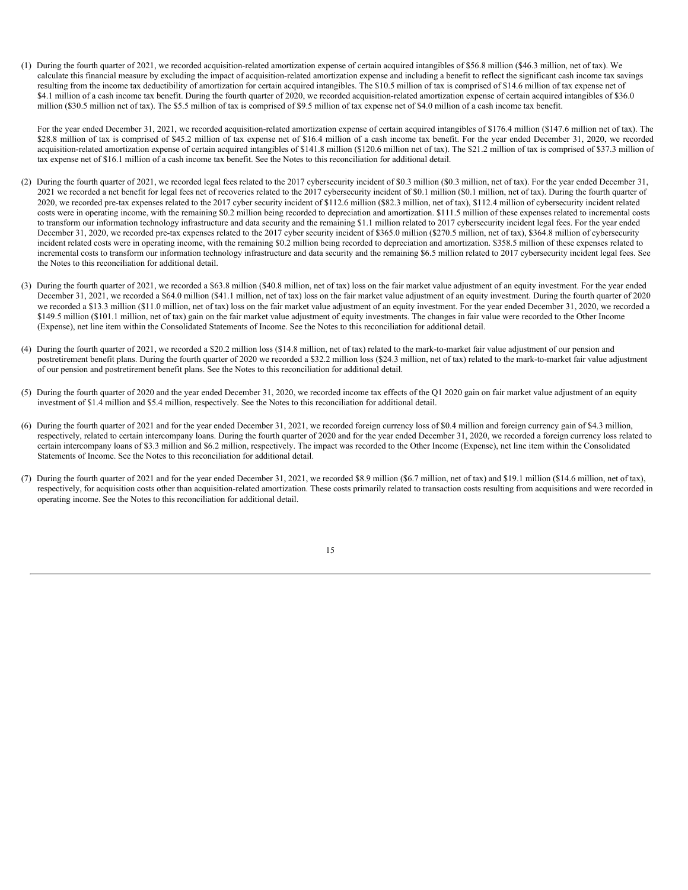(1) During the fourth quarter of 2021, we recorded acquisition-related amortization expense of certain acquired intangibles of \$56.8 million (\$46.3 million, net of tax). We calculate this financial measure by excluding the impact of acquisition-related amortization expense and including a benefit to reflect the significant cash income tax savings resulting from the income tax deductibility of amortization for certain acquired intangibles. The \$10.5 million of tax is comprised of \$14.6 million of tax expense net of \$4.1 million of a cash income tax benefit. During the fourth quarter of 2020, we recorded acquisition-related amortization expense of certain acquired intangibles of \$36.0 million (\$30.5 million net of tax). The \$5.5 million of tax is comprised of \$9.5 million of tax expense net of \$4.0 million of a cash income tax benefit.

For the year ended December 31, 2021, we recorded acquisition-related amortization expense of certain acquired intangibles of \$176.4 million (\$147.6 million net of tax). The \$28.8 million of tax is comprised of \$45.2 million of tax expense net of \$16.4 million of a cash income tax benefit. For the year ended December 31, 2020, we recorded acquisition-related amortization expense of certain acquired intangibles of \$141.8 million (\$120.6 million net of tax). The \$21.2 million of tax is comprised of \$37.3 million of tax expense net of \$16.1 million of a cash income tax benefit. See the Notes to this reconciliation for additional detail.

- (2) During the fourth quarter of 2021, we recorded legal fees related to the 2017 cybersecurity incident of \$0.3 million (\$0.3 million, net of tax). For the year ended December 31, 2021 we recorded a net benefit for legal fees net of recoveries related to the 2017 cybersecurity incident of \$0.1 million (\$0.1 million, net of tax). During the fourth quarter of 2020, we recorded pre-tax expenses related to the 2017 cyber security incident of \$112.6 million (\$82.3 million, net of tax), \$112.4 million of cybersecurity incident related costs were in operating income, with the remaining \$0.2 million being recorded to depreciation and amortization. \$111.5 million of these expenses related to incremental costs to transform our information technology infrastructure and data security and the remaining \$1.1 million related to 2017 cybersecurity incident legal fees. For the year ended December 31, 2020, we recorded pre-tax expenses related to the 2017 cyber security incident of \$365.0 million (\$270.5 million, net of tax), \$364.8 million of cybersecurity incident related costs were in operating income, with the remaining \$0.2 million being recorded to depreciation and amortization. \$358.5 million of these expenses related to incremental costs to transform our information technology infrastructure and data security and the remaining \$6.5 million related to 2017 cybersecurity incident legal fees. See the Notes to this reconciliation for additional detail.
- (3) During the fourth quarter of 2021, we recorded a \$63.8 million (\$40.8 million, net of tax) loss on the fair market value adjustment of an equity investment. For the year ended December 31, 2021, we recorded a \$64.0 million (\$41.1 million, net of tax) loss on the fair market value adjustment of an equity investment. During the fourth quarter of 2020 we recorded a \$13.3 million (\$11.0 million, net of tax) loss on the fair market value adjustment of an equity investment. For the year ended December 31, 2020, we recorded a \$149.5 million (\$101.1 million, net of tax) gain on the fair market value adjustment of equity investments. The changes in fair value were recorded to the Other Income (Expense), net line item within the Consolidated Statements of Income. See the Notes to this reconciliation for additional detail.
- (4) During the fourth quarter of 2021, we recorded a \$20.2 million loss (\$14.8 million, net of tax) related to the mark-to-market fair value adjustment of our pension and postretirement benefit plans. During the fourth quarter of 2020 we recorded a \$32.2 million loss (\$24.3 million, net of tax) related to the mark-to-market fair value adjustment of our pension and postretirement benefit plans. See the Notes to this reconciliation for additional detail.
- (5) During the fourth quarter of 2020 and the year ended December 31, 2020, we recorded income tax effects of the Q1 2020 gain on fair market value adjustment of an equity investment of \$1.4 million and \$5.4 million, respectively. See the Notes to this reconciliation for additional detail.
- (6) During the fourth quarter of 2021 and for the year ended December 31, 2021, we recorded foreign currency loss of \$0.4 million and foreign currency gain of \$4.3 million, respectively, related to certain intercompany loans. During the fourth quarter of 2020 and for the year ended December 31, 2020, we recorded a foreign currency loss related to certain intercompany loans of \$3.3 million and \$6.2 million, respectively. The impact was recorded to the Other Income (Expense), net line item within the Consolidated Statements of Income. See the Notes to this reconciliation for additional detail.
- (7) During the fourth quarter of 2021 and for the year ended December 31, 2021, we recorded \$8.9 million (\$6.7 million, net of tax) and \$19.1 million (\$14.6 million, net of tax), respectively, for acquisition costs other than acquisition-related amortization. These costs primarily related to transaction costs resulting from acquisitions and were recorded in operating income. See the Notes to this reconciliation for additional detail.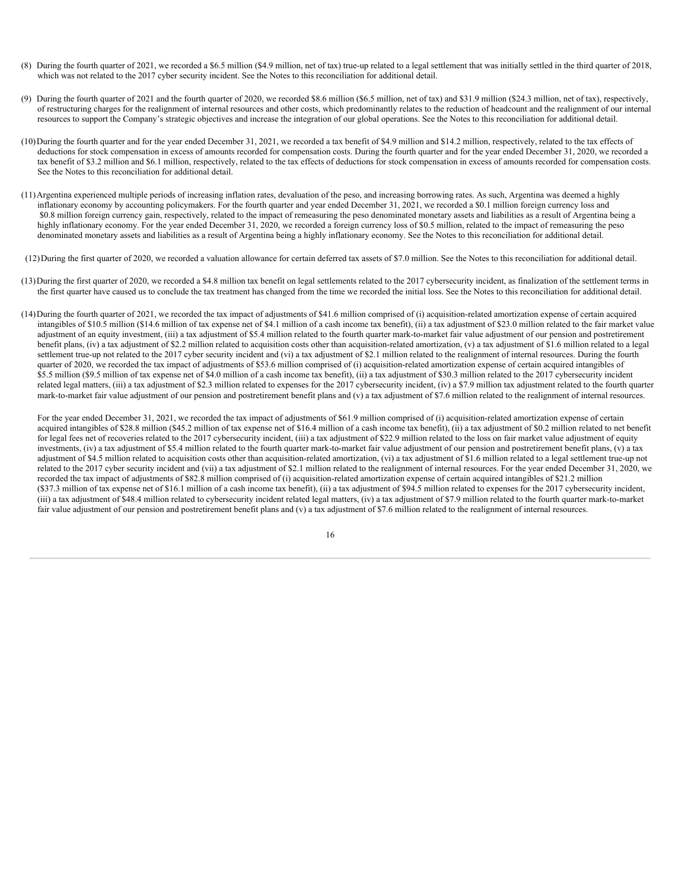- (8) During the fourth quarter of 2021, we recorded a \$6.5 million (\$4.9 million, net of tax) true-up related to a legal settlement that was initially settled in the third quarter of 2018, which was not related to the 2017 cyber security incident. See the Notes to this reconciliation for additional detail.
- (9) During the fourth quarter of 2021 and the fourth quarter of 2020, we recorded \$8.6 million (\$6.5 million, net of tax) and \$31.9 million (\$24.3 million, net of tax), respectively, of restructuring charges for the realignment of internal resources and other costs, which predominantly relates to the reduction of headcount and the realignment of our internal resources to support the Company's strategic objectives and increase the integration of our global operations. See the Notes to this reconciliation for additional detail.
- (10)During the fourth quarter and for the year ended December 31, 2021, we recorded a tax benefit of \$4.9 million and \$14.2 million, respectively, related to the tax effects of deductions for stock compensation in excess of amounts recorded for compensation costs. During the fourth quarter and for the year ended December 31, 2020, we recorded a tax benefit of \$3.2 million and \$6.1 million, respectively, related to the tax effects of deductions for stock compensation in excess of amounts recorded for compensation costs. See the Notes to this reconciliation for additional detail.
- (11)Argentina experienced multiple periods of increasing inflation rates, devaluation of the peso, and increasing borrowing rates. As such, Argentina was deemed a highly inflationary economy by accounting policymakers. For the fourth quarter and year ended December 31, 2021, we recorded a \$0.1 million foreign currency loss and \$0.8 million foreign currency gain, respectively, related to the impact of remeasuring the peso denominated monetary assets and liabilities as a result of Argentina being a highly inflationary economy. For the year ended December 31, 2020, we recorded a foreign currency loss of \$0.5 million, related to the impact of remeasuring the peso denominated monetary assets and liabilities as a result of Argentina being a highly inflationary economy. See the Notes to this reconciliation for additional detail.
- (12)During the first quarter of 2020, we recorded a valuation allowance for certain deferred tax assets of \$7.0 million. See the Notes to this reconciliation for additional detail.
- (13)During the first quarter of 2020, we recorded a \$4.8 million tax benefit on legal settlements related to the 2017 cybersecurity incident, as finalization of the settlement terms in the first quarter have caused us to conclude the tax treatment has changed from the time we recorded the initial loss. See the Notes to this reconciliation for additional detail.
- (14)During the fourth quarter of 2021, we recorded the tax impact of adjustments of \$41.6 million comprised of (i) acquisition-related amortization expense of certain acquired intangibles of \$10.5 million (\$14.6 million of tax expense net of \$4.1 million of a cash income tax benefit), (ii) a tax adjustment of \$23.0 million related to the fair market value adjustment of an equity investment, (iii) a tax adjustment of \$5.4 million related to the fourth quarter mark-to-market fair value adjustment of our pension and postretirement benefit plans, (iv) a tax adjustment of \$2.2 million related to acquisition costs other than acquisition-related amortization, (v) a tax adjustment of \$1.6 million related to a legal settlement true-up not related to the 2017 cyber security incident and (vi) a tax adjustment of \$2.1 million related to the realignment of internal resources. During the fourth quarter of 2020, we recorded the tax impact of adjustments of \$53.6 million comprised of (i) acquisition-related amortization expense of certain acquired intangibles of \$5.5 million (\$9.5 million of tax expense net of \$4.0 million of a cash income tax benefit), (ii) a tax adjustment of \$30.3 million related to the 2017 cybersecurity incident related legal matters, (iii) a tax adjustment of \$2.3 million related to expenses for the 2017 cybersecurity incident, (iv) a \$7.9 million tax adjustment related to the fourth quarter mark-to-market fair value adjustment of our pension and postretirement benefit plans and (v) a tax adjustment of \$7.6 million related to the realignment of internal resources.

For the year ended December 31, 2021, we recorded the tax impact of adjustments of \$61.9 million comprised of (i) acquisition-related amortization expense of certain acquired intangibles of \$28.8 million (\$45.2 million of tax expense net of \$16.4 million of a cash income tax benefit), (ii) a tax adjustment of \$0.2 million related to net benefit for legal fees net of recoveries related to the 2017 cybersecurity incident, (iii) a tax adjustment of \$22.9 million related to the loss on fair market value adjustment of equity investments, (iv) a tax adjustment of \$5.4 million related to the fourth quarter mark-to-market fair value adjustment of our pension and postretirement benefit plans, (v) a tax adjustment of \$4.5 million related to acquisition costs other than acquisition-related amortization, (vi) a tax adjustment of \$1.6 million related to a legal settlement true-up not related to the 2017 cyber security incident and (vii) a tax adjustment of \$2.1 million related to the realignment of internal resources. For the year ended December 31, 2020, we recorded the tax impact of adjustments of \$82.8 million comprised of (i) acquisition-related amortization expense of certain acquired intangibles of \$21.2 million (\$37.3 million of tax expense net of \$16.1 million of a cash income tax benefit), (ii) a tax adjustment of \$94.5 million related to expenses for the 2017 cybersecurity incident, (iii) a tax adjustment of \$48.4 million related to cybersecurity incident related legal matters, (iv) a tax adjustment of \$7.9 million related to the fourth quarter mark-to-market fair value adjustment of our pension and postretirement benefit plans and (v) a tax adjustment of \$7.6 million related to the realignment of internal resources.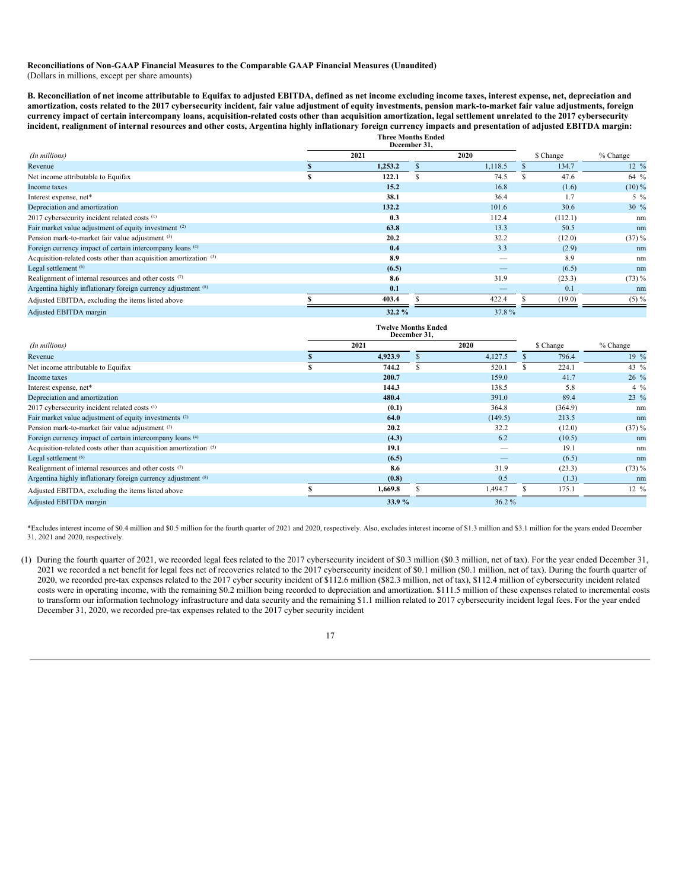### **Reconciliations of Non-GAAP Financial Measures to the Comparable GAAP Financial Measures (Unaudited)** (Dollars in millions, except per share amounts)

B. Reconciliation of net income attributable to Equifax to adjusted EBITDA, defined as net income excluding income taxes, interest expense, net, depreciation and amortization, costs related to the 2017 cybersecurity incident, fair value adjustment of equity investments, pension mark-to-market fair value adjustments, foreign currency impact of certain intercompany loans, acquisition-related costs other than acquisition amortization, legal settlement unrelated to the 2017 cybersecurity incident, realignment of internal resources and other costs, Argentina highly inflationary foreign currency impacts and presentation of adjusted EBITDA margin: **Three Months Ended**

|                                                                   | тигес высша пичем<br>December 31. |         |           |         |                  |  |
|-------------------------------------------------------------------|-----------------------------------|---------|-----------|---------|------------------|--|
| (In millions)                                                     | 2021                              | 2020    | \$ Change |         | % Change         |  |
| Revenue                                                           | 1,253.2                           | 1.118.5 |           | 134.7   | $12 \frac{9}{6}$ |  |
| Net income attributable to Equifax                                | 122.1                             | 74.5    |           | 47.6    | 64 %             |  |
| Income taxes                                                      | 15.2                              | 16.8    |           | (1.6)   | $(10)\%$         |  |
| Interest expense, net*                                            | 38.1                              | 36.4    |           | 1.7     | $5\%$            |  |
| Depreciation and amortization                                     | 132.2                             | 101.6   |           | 30.6    | $30\%$           |  |
| 2017 cybersecurity incident related costs (1)                     | 0.3                               | 112.4   |           | (112.1) | nm               |  |
| Fair market value adjustment of equity investment (2)             | 63.8                              | 13.3    |           | 50.5    | nm               |  |
| Pension mark-to-market fair value adjustment (3)                  | 20.2                              | 32.2    |           | (12.0)  | $(37) \%$        |  |
| Foreign currency impact of certain intercompany loans (4)         | 0.4                               | 3.3     |           | (2.9)   | nm               |  |
| Acquisition-related costs other than acquisition amortization (5) | 8.9                               |         |           | 8.9     | nm               |  |
| Legal settlement (6)                                              | (6.5)                             |         |           | (6.5)   | nm               |  |
| Realignment of internal resources and other costs (7)             | 8.6                               | 31.9    |           | (23.3)  | $(73) \%$        |  |
| Argentina highly inflationary foreign currency adjustment (8)     | 0.1                               |         |           | 0.1     | nm               |  |
| Adjusted EBITDA, excluding the items listed above                 | 403.4                             | 422.4   |           | (19.0)  | $(5) \%$         |  |
| Adjusted EBITDA margin                                            | 32.2%                             | 37.8%   |           |         |                  |  |

|                                                                   | <b>Twelve Months Ended</b> | December 31, |         |           |                  |
|-------------------------------------------------------------------|----------------------------|--------------|---------|-----------|------------------|
| (In millions)                                                     | 2021                       |              | 2020    | \$ Change | $%$ Change       |
| Revenue                                                           | 4,923.9                    |              | 4,127.5 | 796.4     | 19 %             |
| Net income attributable to Equifax                                | 744.2                      |              | 520.1   | 224.1     | 43 $\%$          |
| Income taxes                                                      | 200.7                      |              | 159.0   | 41.7      | $26\%$           |
| Interest expense, net*                                            | 144.3                      |              | 138.5   | 5.8       | $4\%$            |
| Depreciation and amortization                                     | 480.4                      |              | 391.0   | 89.4      | 23 %             |
| 2017 cybersecurity incident related costs (1)                     | (0.1)                      |              | 364.8   | (364.9)   | nm               |
| Fair market value adjustment of equity investments (2)            | 64.0                       |              | (149.5) | 213.5     | nm               |
| Pension mark-to-market fair value adjustment (3)                  | 20.2                       |              | 32.2    | (12.0)    | $(37) \%$        |
| Foreign currency impact of certain intercompany loans (4)         | (4.3)                      |              | 6.2     | (10.5)    | nm               |
| Acquisition-related costs other than acquisition amortization (5) | 19.1                       |              |         | 19.1      | nm               |
| Legal settlement (6)                                              | (6.5)                      |              |         | (6.5)     | nm               |
| Realignment of internal resources and other costs (7)             | 8.6                        |              | 31.9    | (23.3)    | $(73) \%$        |
| Argentina highly inflationary foreign currency adjustment (8)     | (0.8)                      |              | 0.5     | (1.3)     | nm               |
| Adjusted EBITDA, excluding the items listed above                 | 1,669.8                    |              | 1,494.7 | 175.1     | $12 \frac{9}{6}$ |
| Adjusted EBITDA margin                                            | 33.9%                      |              | 36.2%   |           |                  |

\*Excludes interest income of \$0.4 million and \$0.5 million for the fourth quarter of 2021 and 2020, respectively. Also, excludes interest income of \$1.3 million and \$3.1 million for the years ended December 31, 2021 and 2020, respectively.

(1) During the fourth quarter of 2021, we recorded legal fees related to the 2017 cybersecurity incident of \$0.3 million (\$0.3 million, net of tax). For the year ended December 31, 2021 we recorded a net benefit for legal fees net of recoveries related to the 2017 cybersecurity incident of \$0.1 million (\$0.1 million, net of tax). During the fourth quarter of 2020, we recorded pre-tax expenses related to the 2017 cyber security incident of \$112.6 million (\$82.3 million, net of tax), \$112.4 million of cybersecurity incident related costs were in operating income, with the remaining \$0.2 million being recorded to depreciation and amortization. \$111.5 million of these expenses related to incremental costs to transform our information technology infrastructure and data security and the remaining \$1.1 million related to 2017 cybersecurity incident legal fees. For the year ended December 31, 2020, we recorded pre-tax expenses related to the 2017 cyber security incident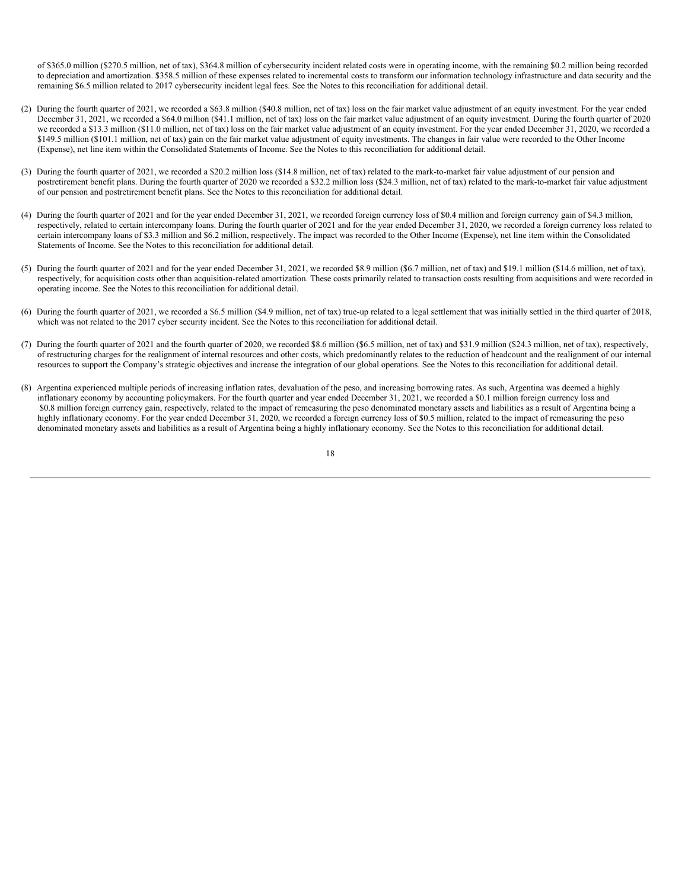of \$365.0 million (\$270.5 million, net of tax), \$364.8 million of cybersecurity incident related costs were in operating income, with the remaining \$0.2 million being recorded to depreciation and amortization. \$358.5 million of these expenses related to incremental costs to transform our information technology infrastructure and data security and the remaining \$6.5 million related to 2017 cybersecurity incident legal fees. See the Notes to this reconciliation for additional detail.

- (2) During the fourth quarter of 2021, we recorded a \$63.8 million (\$40.8 million, net of tax) loss on the fair market value adjustment of an equity investment. For the year ended December 31, 2021, we recorded a \$64.0 million (\$41.1 million, net of tax) loss on the fair market value adjustment of an equity investment. During the fourth quarter of 2020 we recorded a \$13.3 million (\$11.0 million, net of tax) loss on the fair market value adjustment of an equity investment. For the year ended December 31, 2020, we recorded a \$149.5 million (\$101.1 million, net of tax) gain on the fair market value adjustment of equity investments. The changes in fair value were recorded to the Other Income (Expense), net line item within the Consolidated Statements of Income. See the Notes to this reconciliation for additional detail.
- (3) During the fourth quarter of 2021, we recorded a \$20.2 million loss (\$14.8 million, net of tax) related to the mark-to-market fair value adjustment of our pension and postretirement benefit plans. During the fourth quarter of 2020 we recorded a \$32.2 million loss (\$24.3 million, net of tax) related to the mark-to-market fair value adjustment of our pension and postretirement benefit plans. See the Notes to this reconciliation for additional detail.
- (4) During the fourth quarter of 2021 and for the year ended December 31, 2021, we recorded foreign currency loss of \$0.4 million and foreign currency gain of \$4.3 million, respectively, related to certain intercompany loans. During the fourth quarter of 2021 and for the year ended December 31, 2020, we recorded a foreign currency loss related to certain intercompany loans of \$3.3 million and \$6.2 million, respectively. The impact was recorded to the Other Income (Expense), net line item within the Consolidated Statements of Income. See the Notes to this reconciliation for additional detail.
- (5) During the fourth quarter of 2021 and for the year ended December 31, 2021, we recorded \$8.9 million (\$6.7 million, net of tax) and \$19.1 million (\$14.6 million, net of tax), respectively, for acquisition costs other than acquisition-related amortization. These costs primarily related to transaction costs resulting from acquisitions and were recorded in operating income. See the Notes to this reconciliation for additional detail.
- (6) During the fourth quarter of 2021, we recorded a \$6.5 million (\$4.9 million, net of tax) true-up related to a legal settlement that was initially settled in the third quarter of 2018, which was not related to the 2017 cyber security incident. See the Notes to this reconciliation for additional detail.
- (7) During the fourth quarter of 2021 and the fourth quarter of 2020, we recorded \$8.6 million (\$6.5 million, net of tax) and \$31.9 million (\$24.3 million, net of tax), respectively, of restructuring charges for the realignment of internal resources and other costs, which predominantly relates to the reduction of headcount and the realignment of our internal resources to support the Company's strategic objectives and increase the integration of our global operations. See the Notes to this reconciliation for additional detail.
- (8) Argentina experienced multiple periods of increasing inflation rates, devaluation of the peso, and increasing borrowing rates. As such, Argentina was deemed a highly inflationary economy by accounting policymakers. For the fourth quarter and year ended December 31, 2021, we recorded a \$0.1 million foreign currency loss and \$0.8 million foreign currency gain, respectively, related to the impact of remeasuring the peso denominated monetary assets and liabilities as a result of Argentina being a highly inflationary economy. For the year ended December 31, 2020, we recorded a foreign currency loss of \$0.5 million, related to the impact of remeasuring the peso denominated monetary assets and liabilities as a result of Argentina being a highly inflationary economy. See the Notes to this reconciliation for additional detail.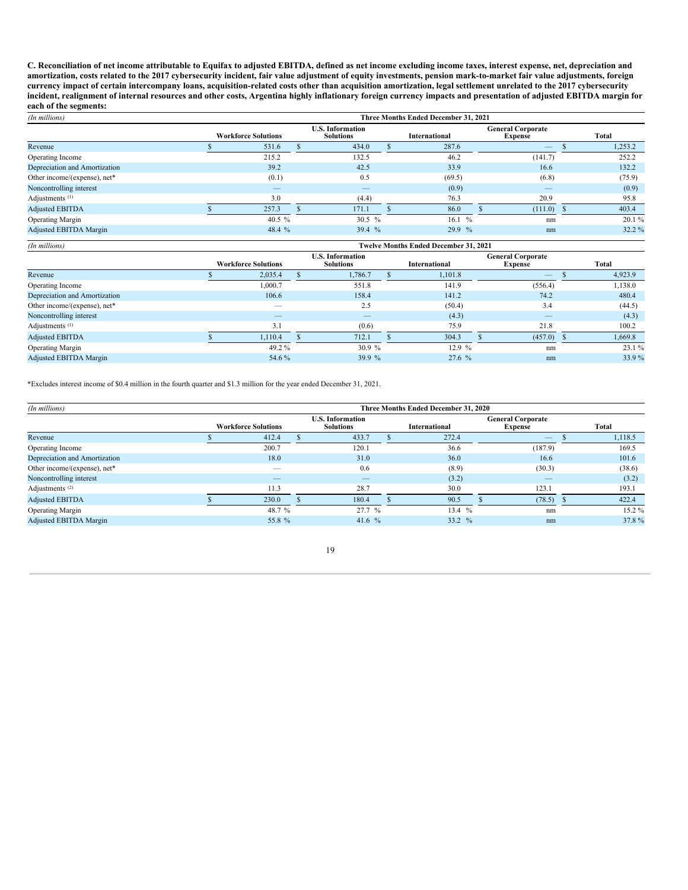C. Reconciliation of net income attributable to Equifax to adjusted EBITDA, defined as net income excluding income taxes, interest expense, net, depreciation and amortization, costs related to the 2017 cybersecurity incident, fair value adjustment of equity investments, pension mark-to-market fair value adjustments, foreign currency impact of certain intercompany loans, acquisition-related costs other than acquisition amortization, legal settlement unrelated to the 2017 cybersecurity incident, realignment of internal resources and other costs, Argentina highly inflationary foreign currency impacts and presentation of adjusted EBITDA margin for **each of the segments:**

| (In millions)                 | Three Months Ended December 31, 2021 |                            |                                             |                          |  |               |  |                                            |  |          |  |  |
|-------------------------------|--------------------------------------|----------------------------|---------------------------------------------|--------------------------|--|---------------|--|--------------------------------------------|--|----------|--|--|
|                               |                                      | <b>Workforce Solutions</b> | <b>U.S. Information</b><br><b>Solutions</b> |                          |  | International |  | <b>General Corporate</b><br><b>Expense</b> |  | Total    |  |  |
| Revenue                       |                                      | 531.6                      |                                             | 434.0                    |  | 287.6         |  | $-$                                        |  | 1,253.2  |  |  |
| Operating Income              |                                      | 215.2                      |                                             | 132.5                    |  | 46.2          |  | (141.7)                                    |  | 252.2    |  |  |
| Depreciation and Amortization |                                      | 39.2                       |                                             | 42.5                     |  | 33.9          |  | 16.6                                       |  | 132.2    |  |  |
| Other income/(expense), net*  |                                      | (0.1)                      |                                             | 0.5                      |  | (69.5)        |  | (6.8)                                      |  | (75.9)   |  |  |
| Noncontrolling interest       |                                      |                            |                                             | $\overline{\phantom{m}}$ |  | (0.9)         |  |                                            |  | (0.9)    |  |  |
| Adjustments <sup>(1)</sup>    |                                      | 3.0                        |                                             | (4.4)                    |  | 76.3          |  | 20.9                                       |  | 95.8     |  |  |
| <b>Adjusted EBITDA</b>        |                                      | 257.3                      |                                             | 171.1                    |  | 86.0          |  | $(111.0)$ \$                               |  | 403.4    |  |  |
| <b>Operating Margin</b>       |                                      | 40.5 $%$                   |                                             | 30.5 $%$                 |  | 16.1%         |  | nm                                         |  | $20.1\%$ |  |  |
| <b>Adjusted EBITDA Margin</b> |                                      | 48.4 $%$                   |                                             | 39.4 $%$                 |  | $29.9\%$      |  | nm                                         |  | $32.2\%$ |  |  |

| (In millions)                 | <b>Twelve Months Ended December 31, 2021</b> |                            |                                             |          |  |                                                                    |  |              |       |         |  |
|-------------------------------|----------------------------------------------|----------------------------|---------------------------------------------|----------|--|--------------------------------------------------------------------|--|--------------|-------|---------|--|
|                               |                                              | <b>Workforce Solutions</b> | <b>U.S. Information</b><br><b>Solutions</b> |          |  | <b>General Corporate</b><br><b>International</b><br><b>Expense</b> |  |              | Total |         |  |
| Revenue                       |                                              | 2,035.4                    |                                             | 1.786.7  |  | 1,101.8                                                            |  |              |       | 4,923.9 |  |
| Operating Income              |                                              | 1,000.7                    |                                             | 551.8    |  | 141.9                                                              |  | (556.4)      |       | 1,138.0 |  |
| Depreciation and Amortization |                                              | 106.6                      |                                             | 158.4    |  | 141.2                                                              |  | 74.2         |       | 480.4   |  |
| Other income/(expense), net*  |                                              | __                         |                                             | 2.5      |  | (50.4)                                                             |  | 3.4          |       | (44.5)  |  |
| Noncontrolling interest       |                                              |                            |                                             |          |  | (4.3)                                                              |  | $-$          |       | (4.3)   |  |
| Adjustments <sup>(1)</sup>    |                                              | 3.1                        |                                             | (0.6)    |  | 75.9                                                               |  | 21.8         |       | 100.2   |  |
| <b>Adjusted EBITDA</b>        |                                              | 1.110.4                    |                                             | 712.1    |  | 304.3                                                              |  | $(457.0)$ \$ |       | 1,669.8 |  |
| <b>Operating Margin</b>       |                                              | 49.2 %                     |                                             | 30.9%    |  | 12.9%                                                              |  | nm           |       | 23.1%   |  |
| <b>Adjusted EBITDA Margin</b> |                                              | 54.6 %                     |                                             | 39.9 $%$ |  | 27.6%                                                              |  | nm           |       | 33.9%   |  |

\*Excludes interest income of \$0.4 million in the fourth quarter and \$1.3 million for the year ended December 31, 2021.

| (In millions)                 | Three Months Ended December 31, 2020 |                            |                                             |          |  |               |                                            |  |         |  |  |
|-------------------------------|--------------------------------------|----------------------------|---------------------------------------------|----------|--|---------------|--------------------------------------------|--|---------|--|--|
|                               |                                      | <b>Workforce Solutions</b> | <b>U.S. Information</b><br><b>Solutions</b> |          |  | International | <b>General Corporate</b><br><b>Expense</b> |  | Total   |  |  |
| Revenue                       |                                      | 412.4                      |                                             | 433.7    |  | 272.4         |                                            |  | 1,118.5 |  |  |
| Operating Income              |                                      | 200.7                      |                                             | 120.1    |  | 36.6          | (187.9)                                    |  | 169.5   |  |  |
| Depreciation and Amortization |                                      | 18.0                       |                                             | 31.0     |  | 36.0          | 16.6                                       |  | 101.6   |  |  |
| Other income/(expense), net*  |                                      | —                          |                                             | 0.6      |  | (8.9)         | (30.3)                                     |  | (38.6)  |  |  |
| Noncontrolling interest       |                                      |                            |                                             |          |  | (3.2)         | $-$                                        |  | (3.2)   |  |  |
| Adjustments <sup>(2)</sup>    |                                      | 11.3                       |                                             | 28.7     |  | 30.0          | 123.1                                      |  | 193.1   |  |  |
| <b>Adjusted EBITDA</b>        |                                      | 230.0                      |                                             | 180.4    |  | 90.5          | (78.5)                                     |  | 422.4   |  |  |
| <b>Operating Margin</b>       |                                      | 48.7 %                     |                                             | 27.7 %   |  | 13.4 %        | nm                                         |  | 15.2%   |  |  |
| Adjusted EBITDA Margin        |                                      | 55.8 %                     |                                             | 41.6 $%$ |  | $33.2 \%$     | nm                                         |  | 37.8%   |  |  |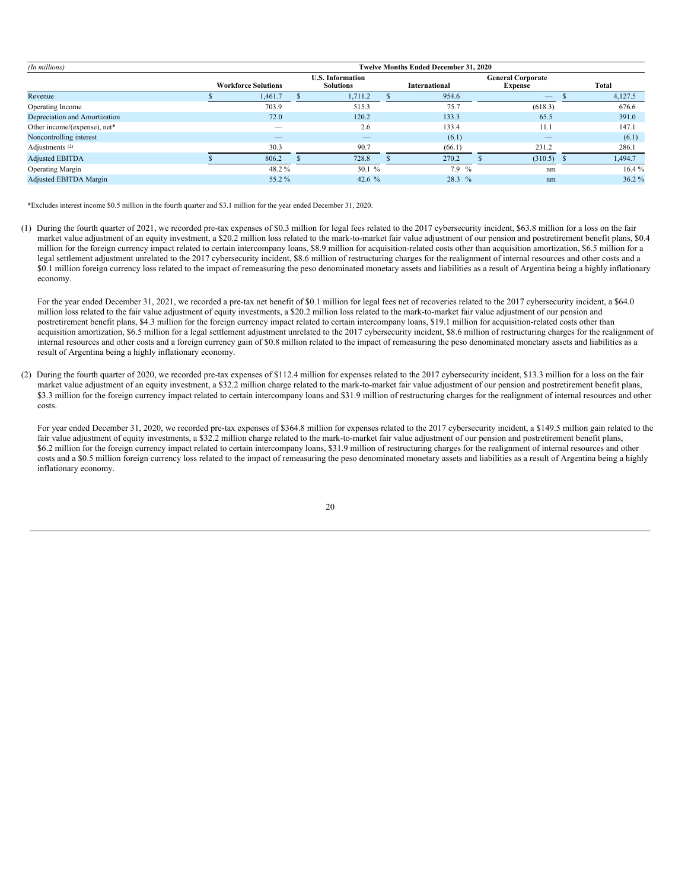| (In millions)                 | <b>Twelve Months Ended December 31, 2020</b> |                            |  |                                             |  |                      |                                            |                                 |  |         |  |
|-------------------------------|----------------------------------------------|----------------------------|--|---------------------------------------------|--|----------------------|--------------------------------------------|---------------------------------|--|---------|--|
|                               |                                              | <b>Workforce Solutions</b> |  | <b>U.S. Information</b><br><b>Solutions</b> |  | <b>International</b> | <b>General Corporate</b><br><b>Expense</b> |                                 |  | Total   |  |
| Revenue                       |                                              | 1,461.7                    |  | 1,711.2                                     |  | 954.6                |                                            | $\hspace{0.1mm}-\hspace{0.1mm}$ |  | 4,127.5 |  |
| Operating Income              |                                              | 703.9                      |  | 515.3                                       |  | 75.7                 |                                            | (618.3)                         |  | 676.6   |  |
| Depreciation and Amortization |                                              | 72.0                       |  | 120.2                                       |  | 133.3                |                                            | 65.5                            |  | 391.0   |  |
| Other income/(expense), net*  |                                              | $\overline{\phantom{a}}$   |  | 2.6                                         |  | 133.4                |                                            | 11.1                            |  | 147.1   |  |
| Noncontrolling interest       |                                              | _                          |  |                                             |  | (6.1)                |                                            |                                 |  | (6.1)   |  |
| Adjustments <sup>(2)</sup>    |                                              | 30.3                       |  | 90.7                                        |  | (66.1)               |                                            | 231.2                           |  | 286.1   |  |
| Adjusted EBITDA               |                                              | 806.2                      |  | 728.8                                       |  | 270.2                |                                            | $(310.5)$ \$                    |  | 1,494.7 |  |
| Operating Margin              |                                              | 48.2 %                     |  | 30.1%                                       |  | $7.9\%$              |                                            | nm                              |  | 16.4%   |  |
| <b>Adjusted EBITDA Margin</b> |                                              | 55.2 %                     |  | 42.6 $%$                                    |  | $28.3\%$             |                                            | nm                              |  | 36.2%   |  |

\*Excludes interest income \$0.5 million in the fourth quarter and \$3.1 million for the year ended December 31, 2020.

(1) During the fourth quarter of 2021, we recorded pre-tax expenses of \$0.3 million for legal fees related to the 2017 cybersecurity incident, \$63.8 million for a loss on the fair market value adjustment of an equity investment, a \$20.2 million loss related to the mark-to-market fair value adjustment of our pension and postretirement benefit plans, \$0.4 million for the foreign currency impact related to certain intercompany loans, \$8.9 million for acquisition-related costs other than acquisition amortization, \$6.5 million for a legal settlement adjustment unrelated to the 2017 cybersecurity incident, \$8.6 million of restructuring charges for the realignment of internal resources and other costs and a \$0.1 million foreign currency loss related to the impact of remeasuring the peso denominated monetary assets and liabilities as a result of Argentina being a highly inflationary economy.

For the year ended December 31, 2021, we recorded a pre-tax net benefit of \$0.1 million for legal fees net of recoveries related to the 2017 cybersecurity incident, a \$64.0 million loss related to the fair value adjustment of equity investments, a \$20.2 million loss related to the mark-to-market fair value adjustment of our pension and postretirement benefit plans, \$4.3 million for the foreign currency impact related to certain intercompany loans, \$19.1 million for acquisition-related costs other than acquisition amortization, \$6.5 million for a legal settlement adjustment unrelated to the 2017 cybersecurity incident, \$8.6 million of restructuring charges for the realignment of internal resources and other costs and a foreign currency gain of \$0.8 million related to the impact of remeasuring the peso denominated monetary assets and liabilities as a result of Argentina being a highly inflationary economy.

(2) During the fourth quarter of 2020, we recorded pre-tax expenses of \$112.4 million for expenses related to the 2017 cybersecurity incident, \$13.3 million for a loss on the fair market value adjustment of an equity investment, a \$32.2 million charge related to the mark-to-market fair value adjustment of our pension and postretirement benefit plans, \$3.3 million for the foreign currency impact related to certain intercompany loans and \$31.9 million of restructuring charges for the realignment of internal resources and other costs.

For year ended December 31, 2020, we recorded pre-tax expenses of \$364.8 million for expenses related to the 2017 cybersecurity incident, a \$149.5 million gain related to the fair value adjustment of equity investments, a \$32.2 million charge related to the mark-to-market fair value adjustment of our pension and postretirement benefit plans, \$6.2 million for the foreign currency impact related to certain intercompany loans, \$31.9 million of restructuring charges for the realignment of internal resources and other costs and a \$0.5 million foreign currency loss related to the impact of remeasuring the peso denominated monetary assets and liabilities as a result of Argentina being a highly inflationary economy.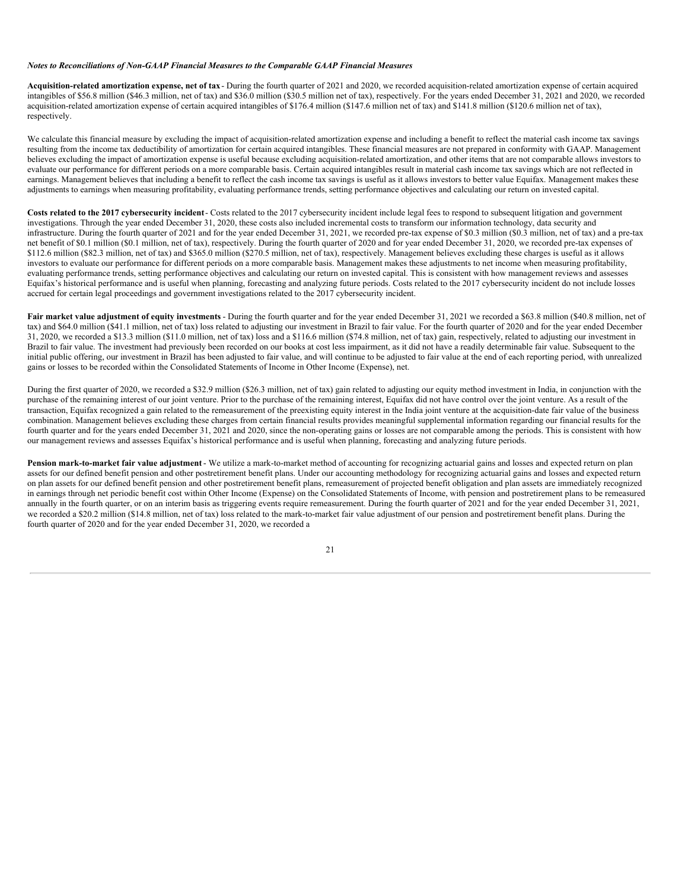#### *Notes to Reconciliations of Non-GAAP Financial Measures to the Comparable GAAP Financial Measures*

**Acquisition-related amortization expense, net of tax**- During the fourth quarter of 2021 and 2020, we recorded acquisition-related amortization expense of certain acquired intangibles of \$56.8 million (\$46.3 million, net of tax) and \$36.0 million (\$30.5 million net of tax), respectively. For the years ended December 31, 2021 and 2020, we recorded acquisition-related amortization expense of certain acquired intangibles of \$176.4 million (\$147.6 million net of tax) and \$141.8 million (\$120.6 million net of tax), respectively.

We calculate this financial measure by excluding the impact of acquisition-related amortization expense and including a benefit to reflect the material cash income tax savings resulting from the income tax deductibility of amortization for certain acquired intangibles. These financial measures are not prepared in conformity with GAAP. Management believes excluding the impact of amortization expense is useful because excluding acquisition-related amortization, and other items that are not comparable allows investors to evaluate our performance for different periods on a more comparable basis. Certain acquired intangibles result in material cash income tax savings which are not reflected in earnings. Management believes that including a benefit to reflect the cash income tax savings is useful as it allows investors to better value Equifax. Management makes these adjustments to earnings when measuring profitability, evaluating performance trends, setting performance objectives and calculating our return on invested capital.

**Costs related to the 2017 cybersecurity incident**- Costs related to the 2017 cybersecurity incident include legal fees to respond to subsequent litigation and government investigations. Through the year ended December 31, 2020, these costs also included incremental costs to transform our information technology, data security and infrastructure. During the fourth quarter of 2021 and for the year ended December 31, 2021, we recorded pre-tax expense of \$0.3 million (\$0.3 million, net of tax) and a pre-tax net benefit of \$0.1 million (\$0.1 million, net of tax), respectively. During the fourth quarter of 2020 and for year ended December 31, 2020, we recorded pre-tax expenses of \$112.6 million (\$82.3 million, net of tax) and \$365.0 million (\$270.5 million, net of tax), respectively. Management believes excluding these charges is useful as it allows investors to evaluate our performance for different periods on a more comparable basis. Management makes these adjustments to net income when measuring profitability, evaluating performance trends, setting performance objectives and calculating our return on invested capital. This is consistent with how management reviews and assesses Equifax's historical performance and is useful when planning, forecasting and analyzing future periods. Costs related to the 2017 cybersecurity incident do not include losses accrued for certain legal proceedings and government investigations related to the 2017 cybersecurity incident.

Fair market value adjustment of equity investments - During the fourth quarter and for the year ended December 31, 2021 we recorded a \$63.8 million (\$40.8 million, net of tax) and \$64.0 million (\$41.1 million, net of tax) loss related to adjusting our investment in Brazil to fair value. For the fourth quarter of 2020 and for the year ended December 31, 2020, we recorded a \$13.3 million (\$11.0 million, net of tax) loss and a \$116.6 million (\$74.8 million, net of tax) gain, respectively, related to adjusting our investment in Brazil to fair value. The investment had previously been recorded on our books at cost less impairment, as it did not have a readily determinable fair value. Subsequent to the initial public offering, our investment in Brazil has been adjusted to fair value, and will continue to be adjusted to fair value at the end of each reporting period, with unrealized gains or losses to be recorded within the Consolidated Statements of Income in Other Income (Expense), net.

During the first quarter of 2020, we recorded a \$32.9 million (\$26.3 million, net of tax) gain related to adjusting our equity method investment in India, in conjunction with the purchase of the remaining interest of our joint venture. Prior to the purchase of the remaining interest, Equifax did not have control over the joint venture. As a result of the transaction, Equifax recognized a gain related to the remeasurement of the preexisting equity interest in the India joint venture at the acquisition-date fair value of the business combination. Management believes excluding these charges from certain financial results provides meaningful supplemental information regarding our financial results for the fourth quarter and for the years ended December 31, 2021 and 2020, since the non-operating gains or losses are not comparable among the periods. This is consistent with how our management reviews and assesses Equifax's historical performance and is useful when planning, forecasting and analyzing future periods.

**Pension mark-to-market fair value adjustment** - We utilize a mark-to-market method of accounting for recognizing actuarial gains and losses and expected return on plan assets for our defined benefit pension and other postretirement benefit plans. Under our accounting methodology for recognizing actuarial gains and losses and expected return on plan assets for our defined benefit pension and other postretirement benefit plans, remeasurement of projected benefit obligation and plan assets are immediately recognized in earnings through net periodic benefit cost within Other Income (Expense) on the Consolidated Statements of Income, with pension and postretirement plans to be remeasured annually in the fourth quarter, or on an interim basis as triggering events require remeasurement. During the fourth quarter of 2021 and for the year ended December 31, 2021, we recorded a \$20.2 million (\$14.8 million, net of tax) loss related to the mark-to-market fair value adjustment of our pension and postretirement benefit plans. During the fourth quarter of 2020 and for the year ended December 31, 2020, we recorded a

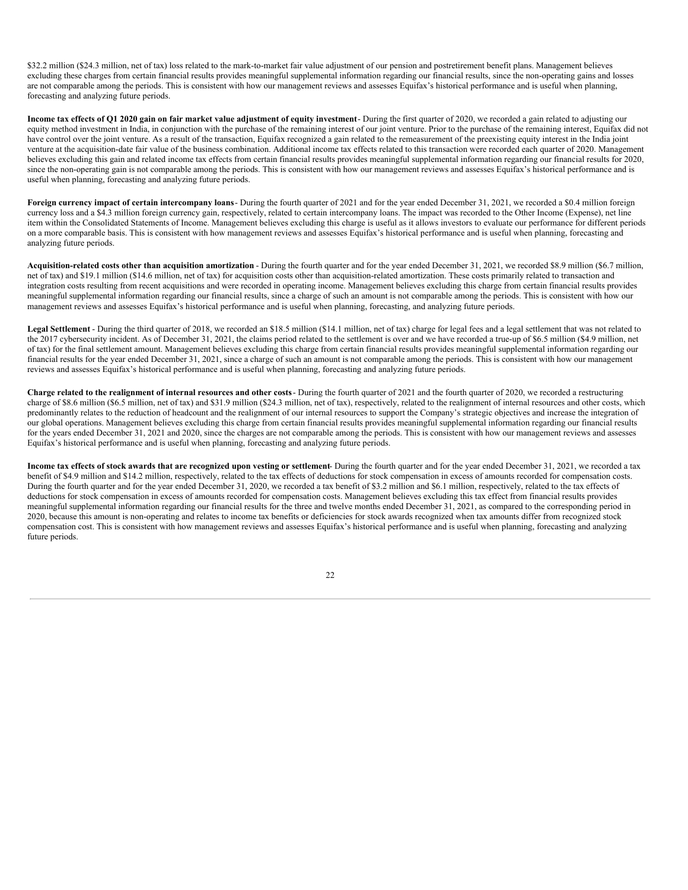\$32.2 million (\$24.3 million, net of tax) loss related to the mark-to-market fair value adjustment of our pension and postretirement benefit plans. Management believes excluding these charges from certain financial results provides meaningful supplemental information regarding our financial results, since the non-operating gains and losses are not comparable among the periods. This is consistent with how our management reviews and assesses Equifax's historical performance and is useful when planning, forecasting and analyzing future periods.

Income tax effects of Q1 2020 gain on fair market value adjustment of equity investment- During the first quarter of 2020, we recorded a gain related to adjusting our equity method investment in India, in conjunction with the purchase of the remaining interest of our joint venture. Prior to the purchase of the remaining interest, Equifax did not have control over the joint venture. As a result of the transaction, Equifax recognized a gain related to the remeasurement of the preexisting equity interest in the India joint venture at the acquisition-date fair value of the business combination. Additional income tax effects related to this transaction were recorded each quarter of 2020. Management believes excluding this gain and related income tax effects from certain financial results provides meaningful supplemental information regarding our financial results for 2020, since the non-operating gain is not comparable among the periods. This is consistent with how our management reviews and assesses Equifax's historical performance and is useful when planning, forecasting and analyzing future periods.

**Foreign currency impact of certain intercompany loans**- During the fourth quarter of 2021 and for the year ended December 31, 2021, we recorded a \$0.4 million foreign currency loss and a \$4.3 million foreign currency gain, respectively, related to certain intercompany loans. The impact was recorded to the Other Income (Expense), net line item within the Consolidated Statements of Income. Management believes excluding this charge is useful as it allows investors to evaluate our performance for different periods on a more comparable basis. This is consistent with how management reviews and assesses Equifax's historical performance and is useful when planning, forecasting and analyzing future periods.

**Acquisition-related costs other than acquisition amortization** - During the fourth quarter and for the year ended December 31, 2021, we recorded \$8.9 million (\$6.7 million, net of tax) and \$19.1 million (\$14.6 million, net of tax) for acquisition costs other than acquisition-related amortization. These costs primarily related to transaction and integration costs resulting from recent acquisitions and were recorded in operating income. Management believes excluding this charge from certain financial results provides meaningful supplemental information regarding our financial results, since a charge of such an amount is not comparable among the periods. This is consistent with how our management reviews and assesses Equifax's historical performance and is useful when planning, forecasting, and analyzing future periods.

**Legal Settlement** - During the third quarter of 2018, we recorded an \$18.5 million (\$14.1 million, net of tax) charge for legal fees and a legal settlement that was not related to the 2017 cybersecurity incident. As of December 31, 2021, the claims period related to the settlement is over and we have recorded a true-up of \$6.5 million (\$4.9 million, net of tax) for the final settlement amount. Management believes excluding this charge from certain financial results provides meaningful supplemental information regarding our financial results for the year ended December 31, 2021, since a charge of such an amount is not comparable among the periods. This is consistent with how our management reviews and assesses Equifax's historical performance and is useful when planning, forecasting and analyzing future periods.

Charge related to the realignment of internal resources and other costs-During the fourth quarter of 2021 and the fourth quarter of 2020, we recorded a restructuring charge of \$8.6 million (\$6.5 million, net of tax) and \$31.9 million (\$24.3 million, net of tax), respectively, related to the realignment of internal resources and other costs, which predominantly relates to the reduction of headcount and the realignment of our internal resources to support the Company's strategic objectives and increase the integration of our global operations. Management believes excluding this charge from certain financial results provides meaningful supplemental information regarding our financial results for the years ended December 31, 2021 and 2020, since the charges are not comparable among the periods. This is consistent with how our management reviews and assesses Equifax's historical performance and is useful when planning, forecasting and analyzing future periods.

Income tax effects of stock awards that are recognized upon vesting or settlement- During the fourth quarter and for the year ended December 31, 2021, we recorded a tax benefit of \$4.9 million and \$14.2 million, respectively, related to the tax effects of deductions for stock compensation in excess of amounts recorded for compensation costs. During the fourth quarter and for the year ended December 31, 2020, we recorded a tax benefit of \$3.2 million and \$6.1 million, respectively, related to the tax effects of deductions for stock compensation in excess of amounts recorded for compensation costs. Management believes excluding this tax effect from financial results provides meaningful supplemental information regarding our financial results for the three and twelve months ended December 31, 2021, as compared to the corresponding period in 2020, because this amount is non-operating and relates to income tax benefits or deficiencies for stock awards recognized when tax amounts differ from recognized stock compensation cost. This is consistent with how management reviews and assesses Equifax's historical performance and is useful when planning, forecasting and analyzing future periods.